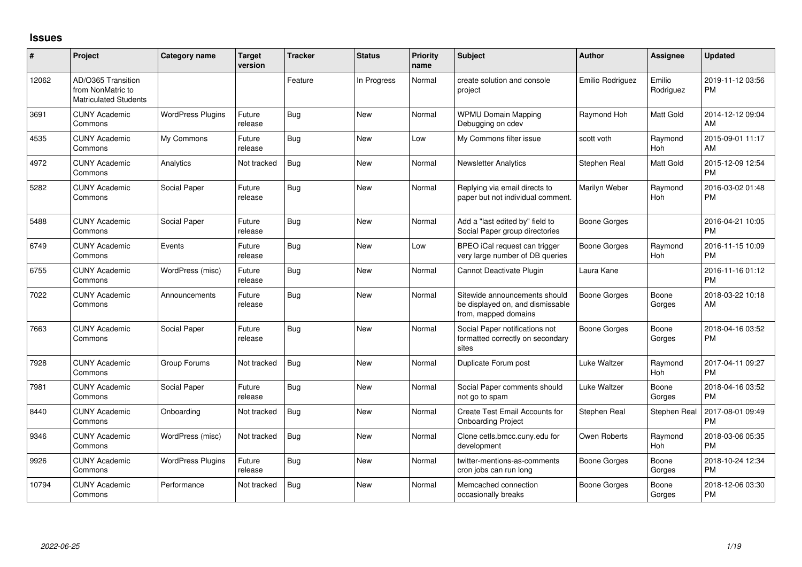## **Issues**

| #     | Project                                                                 | <b>Category name</b>     | <b>Target</b><br>version | <b>Tracker</b> | <b>Status</b> | <b>Priority</b><br>name | <b>Subject</b>                                                                            | <b>Author</b>       | <b>Assignee</b>       | <b>Updated</b>                |
|-------|-------------------------------------------------------------------------|--------------------------|--------------------------|----------------|---------------|-------------------------|-------------------------------------------------------------------------------------------|---------------------|-----------------------|-------------------------------|
| 12062 | AD/O365 Transition<br>from NonMatric to<br><b>Matriculated Students</b> |                          |                          | Feature        | In Progress   | Normal                  | create solution and console<br>project                                                    | Emilio Rodriguez    | Emilio<br>Rodriguez   | 2019-11-12 03:56<br>PM        |
| 3691  | <b>CUNY Academic</b><br>Commons                                         | <b>WordPress Plugins</b> | Future<br>release        | Bug            | <b>New</b>    | Normal                  | <b>WPMU Domain Mapping</b><br>Debugging on cdev                                           | Raymond Hoh         | Matt Gold             | 2014-12-12 09:04<br>AM        |
| 4535  | <b>CUNY Academic</b><br>Commons                                         | My Commons               | Future<br>release        | Bug            | <b>New</b>    | Low                     | My Commons filter issue                                                                   | scott voth          | Raymond<br><b>Hoh</b> | 2015-09-01 11:17<br>AM        |
| 4972  | <b>CUNY Academic</b><br>Commons                                         | Analytics                | Not tracked              | Bug            | <b>New</b>    | Normal                  | <b>Newsletter Analytics</b>                                                               | Stephen Real        | Matt Gold             | 2015-12-09 12:54<br><b>PM</b> |
| 5282  | <b>CUNY Academic</b><br>Commons                                         | Social Paper             | Future<br>release        | Bug            | <b>New</b>    | Normal                  | Replying via email directs to<br>paper but not individual comment.                        | Marilyn Weber       | Raymond<br>Hoh        | 2016-03-02 01:48<br><b>PM</b> |
| 5488  | <b>CUNY Academic</b><br>Commons                                         | Social Paper             | Future<br>release        | <b>Bug</b>     | <b>New</b>    | Normal                  | Add a "last edited by" field to<br>Social Paper group directories                         | Boone Gorges        |                       | 2016-04-21 10:05<br><b>PM</b> |
| 6749  | <b>CUNY Academic</b><br>Commons                                         | Events                   | Future<br>release        | <b>Bug</b>     | <b>New</b>    | Low                     | BPEO iCal request can trigger<br>very large number of DB queries                          | Boone Gorges        | Raymond<br>Hoh        | 2016-11-15 10:09<br><b>PM</b> |
| 6755  | <b>CUNY Academic</b><br>Commons                                         | WordPress (misc)         | Future<br>release        | Bug            | <b>New</b>    | Normal                  | Cannot Deactivate Plugin                                                                  | Laura Kane          |                       | 2016-11-16 01:12<br><b>PM</b> |
| 7022  | <b>CUNY Academic</b><br>Commons                                         | Announcements            | Future<br>release        | Bug            | <b>New</b>    | Normal                  | Sitewide announcements should<br>be displayed on, and dismissable<br>from, mapped domains | <b>Boone Gorges</b> | Boone<br>Gorges       | 2018-03-22 10:18<br>AM        |
| 7663  | <b>CUNY Academic</b><br>Commons                                         | Social Paper             | Future<br>release        | Bug            | <b>New</b>    | Normal                  | Social Paper notifications not<br>formatted correctly on secondary<br>sites               | Boone Gorges        | Boone<br>Gorges       | 2018-04-16 03:52<br><b>PM</b> |
| 7928  | <b>CUNY Academic</b><br>Commons                                         | Group Forums             | Not tracked              | Bug            | <b>New</b>    | Normal                  | Duplicate Forum post                                                                      | Luke Waltzer        | Raymond<br><b>Hoh</b> | 2017-04-11 09:27<br><b>PM</b> |
| 7981  | <b>CUNY Academic</b><br>Commons                                         | Social Paper             | Future<br>release        | Bug            | <b>New</b>    | Normal                  | Social Paper comments should<br>not go to spam                                            | Luke Waltzer        | Boone<br>Gorges       | 2018-04-16 03:52<br>PM        |
| 8440  | <b>CUNY Academic</b><br>Commons                                         | Onboarding               | Not tracked              | Bug            | New           | Normal                  | Create Test Email Accounts for<br><b>Onboarding Project</b>                               | Stephen Real        | Stephen Real          | 2017-08-01 09:49<br>PM        |
| 9346  | <b>CUNY Academic</b><br>Commons                                         | WordPress (misc)         | Not tracked              | Bug            | <b>New</b>    | Normal                  | Clone cetls.bmcc.cuny.edu for<br>development                                              | Owen Roberts        | Raymond<br>Hoh        | 2018-03-06 05:35<br>PM        |
| 9926  | <b>CUNY Academic</b><br>Commons                                         | <b>WordPress Plugins</b> | Future<br>release        | <b>Bug</b>     | <b>New</b>    | Normal                  | twitter-mentions-as-comments<br>cron jobs can run long                                    | Boone Gorges        | Boone<br>Gorges       | 2018-10-24 12:34<br><b>PM</b> |
| 10794 | <b>CUNY Academic</b><br>Commons                                         | Performance              | Not tracked              | <b>Bug</b>     | <b>New</b>    | Normal                  | Memcached connection<br>occasionally breaks                                               | Boone Gorges        | Boone<br>Gorges       | 2018-12-06 03:30<br><b>PM</b> |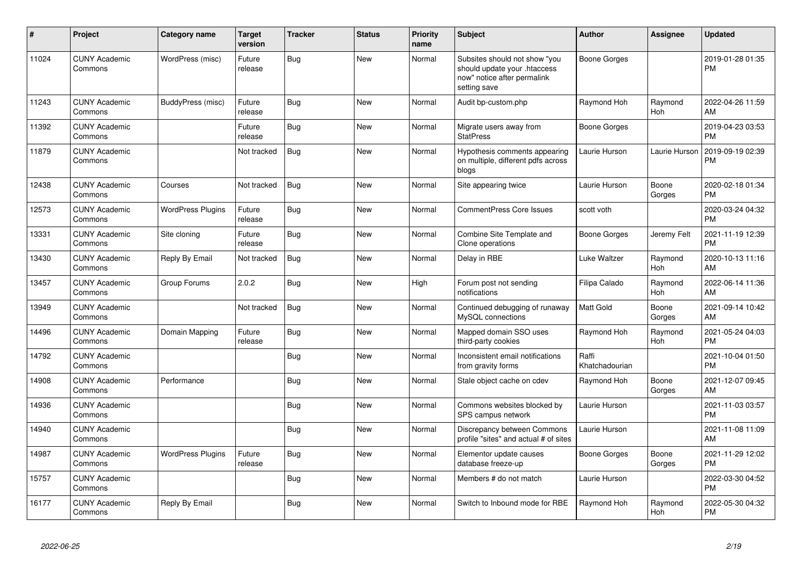| #     | <b>Project</b>                  | Category name            | <b>Target</b><br>version | <b>Tracker</b> | <b>Status</b> | <b>Priority</b><br>name | Subject                                                                                                      | <b>Author</b>           | <b>Assignee</b> | <b>Updated</b>                |
|-------|---------------------------------|--------------------------|--------------------------|----------------|---------------|-------------------------|--------------------------------------------------------------------------------------------------------------|-------------------------|-----------------|-------------------------------|
| 11024 | <b>CUNY Academic</b><br>Commons | WordPress (misc)         | Future<br>release        | <b>Bug</b>     | <b>New</b>    | Normal                  | Subsites should not show "you<br>should update your .htaccess<br>now" notice after permalink<br>setting save | <b>Boone Gorges</b>     |                 | 2019-01-28 01:35<br><b>PM</b> |
| 11243 | <b>CUNY Academic</b><br>Commons | BuddyPress (misc)        | Future<br>release        | Bug            | <b>New</b>    | Normal                  | Audit bp-custom.php                                                                                          | Raymond Hoh             | Raymond<br>Hoh  | 2022-04-26 11:59<br>AM        |
| 11392 | <b>CUNY Academic</b><br>Commons |                          | Future<br>release        | <b>Bug</b>     | <b>New</b>    | Normal                  | Migrate users away from<br><b>StatPress</b>                                                                  | <b>Boone Gorges</b>     |                 | 2019-04-23 03:53<br><b>PM</b> |
| 11879 | <b>CUNY Academic</b><br>Commons |                          | Not tracked              | <b>Bug</b>     | <b>New</b>    | Normal                  | Hypothesis comments appearing<br>on multiple, different pdfs across<br>blogs                                 | Laurie Hurson           | Laurie Hurson   | 2019-09-19 02:39<br><b>PM</b> |
| 12438 | <b>CUNY Academic</b><br>Commons | Courses                  | Not tracked              | Bug            | <b>New</b>    | Normal                  | Site appearing twice                                                                                         | Laurie Hurson           | Boone<br>Gorges | 2020-02-18 01:34<br><b>PM</b> |
| 12573 | <b>CUNY Academic</b><br>Commons | <b>WordPress Plugins</b> | Future<br>release        | Bug            | <b>New</b>    | Normal                  | <b>CommentPress Core Issues</b>                                                                              | scott voth              |                 | 2020-03-24 04:32<br><b>PM</b> |
| 13331 | <b>CUNY Academic</b><br>Commons | Site cloning             | Future<br>release        | <b>Bug</b>     | <b>New</b>    | Normal                  | Combine Site Template and<br>Clone operations                                                                | <b>Boone Gorges</b>     | Jeremy Felt     | 2021-11-19 12:39<br><b>PM</b> |
| 13430 | <b>CUNY Academic</b><br>Commons | Reply By Email           | Not tracked              | <b>Bug</b>     | New           | Normal                  | Delay in RBE                                                                                                 | Luke Waltzer            | Raymond<br>Hoh  | 2020-10-13 11:16<br>AM        |
| 13457 | <b>CUNY Academic</b><br>Commons | Group Forums             | 2.0.2                    | <b>Bug</b>     | New           | High                    | Forum post not sending<br>notifications                                                                      | Filipa Calado           | Raymond<br>Hoh  | 2022-06-14 11:36<br>AM        |
| 13949 | <b>CUNY Academic</b><br>Commons |                          | Not tracked              | <b>Bug</b>     | New           | Normal                  | Continued debugging of runaway<br>MySQL connections                                                          | Matt Gold               | Boone<br>Gorges | 2021-09-14 10:42<br>AM        |
| 14496 | <b>CUNY Academic</b><br>Commons | Domain Mapping           | Future<br>release        | <b>Bug</b>     | <b>New</b>    | Normal                  | Mapped domain SSO uses<br>third-party cookies                                                                | Raymond Hoh             | Raymond<br>Hoh  | 2021-05-24 04:03<br><b>PM</b> |
| 14792 | <b>CUNY Academic</b><br>Commons |                          |                          | <b>Bug</b>     | <b>New</b>    | Normal                  | Inconsistent email notifications<br>from gravity forms                                                       | Raffi<br>Khatchadourian |                 | 2021-10-04 01:50<br><b>PM</b> |
| 14908 | <b>CUNY Academic</b><br>Commons | Performance              |                          | <b>Bug</b>     | New           | Normal                  | Stale object cache on cdev                                                                                   | Raymond Hoh             | Boone<br>Gorges | 2021-12-07 09:45<br>AM        |
| 14936 | <b>CUNY Academic</b><br>Commons |                          |                          | Bug            | <b>New</b>    | Normal                  | Commons websites blocked by<br>SPS campus network                                                            | Laurie Hurson           |                 | 2021-11-03 03:57<br><b>PM</b> |
| 14940 | <b>CUNY Academic</b><br>Commons |                          |                          | Bug            | New           | Normal                  | Discrepancy between Commons<br>profile "sites" and actual # of sites                                         | Laurie Hurson           |                 | 2021-11-08 11:09<br>AM        |
| 14987 | <b>CUNY Academic</b><br>Commons | <b>WordPress Plugins</b> | Future<br>release        | <b>Bug</b>     | New           | Normal                  | Elementor update causes<br>database freeze-up                                                                | Boone Gorges            | Boone<br>Gorges | 2021-11-29 12:02<br><b>PM</b> |
| 15757 | <b>CUNY Academic</b><br>Commons |                          |                          | Bug            | <b>New</b>    | Normal                  | Members # do not match                                                                                       | Laurie Hurson           |                 | 2022-03-30 04:52<br><b>PM</b> |
| 16177 | <b>CUNY Academic</b><br>Commons | Reply By Email           |                          | <b>Bug</b>     | <b>New</b>    | Normal                  | Switch to Inbound mode for RBE                                                                               | Raymond Hoh             | Raymond<br>Hoh  | 2022-05-30 04:32<br>PM        |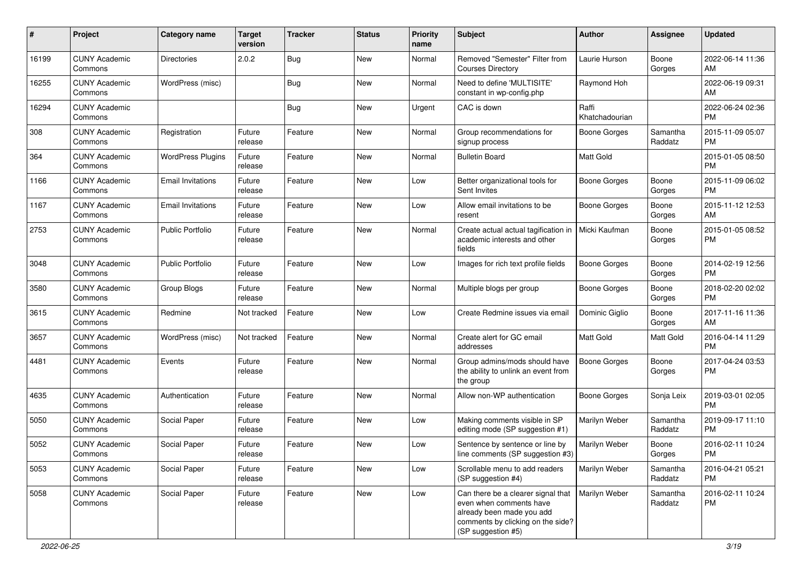| #     | Project                         | <b>Category name</b>     | <b>Target</b><br>version | <b>Tracker</b> | <b>Status</b> | <b>Priority</b><br>name | <b>Subject</b>                                                                                                                                            | Author                  | <b>Assignee</b>     | <b>Updated</b>                |
|-------|---------------------------------|--------------------------|--------------------------|----------------|---------------|-------------------------|-----------------------------------------------------------------------------------------------------------------------------------------------------------|-------------------------|---------------------|-------------------------------|
| 16199 | <b>CUNY Academic</b><br>Commons | <b>Directories</b>       | 2.0.2                    | Bug            | <b>New</b>    | Normal                  | Removed "Semester" Filter from<br><b>Courses Directory</b>                                                                                                | Laurie Hurson           | Boone<br>Gorges     | 2022-06-14 11:36<br>AM        |
| 16255 | <b>CUNY Academic</b><br>Commons | WordPress (misc)         |                          | <b>Bug</b>     | <b>New</b>    | Normal                  | Need to define 'MULTISITE'<br>constant in wp-config.php                                                                                                   | Raymond Hoh             |                     | 2022-06-19 09:31<br>AM        |
| 16294 | <b>CUNY Academic</b><br>Commons |                          |                          | Bug            | New           | Urgent                  | CAC is down                                                                                                                                               | Raffi<br>Khatchadourian |                     | 2022-06-24 02:36<br><b>PM</b> |
| 308   | <b>CUNY Academic</b><br>Commons | Registration             | Future<br>release        | Feature        | New           | Normal                  | Group recommendations for<br>signup process                                                                                                               | Boone Gorges            | Samantha<br>Raddatz | 2015-11-09 05:07<br><b>PM</b> |
| 364   | <b>CUNY Academic</b><br>Commons | <b>WordPress Plugins</b> | Future<br>release        | Feature        | New           | Normal                  | <b>Bulletin Board</b>                                                                                                                                     | Matt Gold               |                     | 2015-01-05 08:50<br>PM        |
| 1166  | <b>CUNY Academic</b><br>Commons | <b>Email Invitations</b> | Future<br>release        | Feature        | <b>New</b>    | Low                     | Better organizational tools for<br>Sent Invites                                                                                                           | <b>Boone Gorges</b>     | Boone<br>Gorges     | 2015-11-09 06:02<br><b>PM</b> |
| 1167  | <b>CUNY Academic</b><br>Commons | <b>Email Invitations</b> | Future<br>release        | Feature        | New           | Low                     | Allow email invitations to be<br>resent                                                                                                                   | <b>Boone Gorges</b>     | Boone<br>Gorges     | 2015-11-12 12:53<br>AM        |
| 2753  | <b>CUNY Academic</b><br>Commons | <b>Public Portfolio</b>  | Future<br>release        | Feature        | <b>New</b>    | Normal                  | Create actual actual tagification in<br>academic interests and other<br>fields                                                                            | Micki Kaufman           | Boone<br>Gorges     | 2015-01-05 08:52<br><b>PM</b> |
| 3048  | <b>CUNY Academic</b><br>Commons | <b>Public Portfolio</b>  | Future<br>release        | Feature        | <b>New</b>    | Low                     | Images for rich text profile fields                                                                                                                       | <b>Boone Gorges</b>     | Boone<br>Gorges     | 2014-02-19 12:56<br><b>PM</b> |
| 3580  | <b>CUNY Academic</b><br>Commons | Group Blogs              | Future<br>release        | Feature        | <b>New</b>    | Normal                  | Multiple blogs per group                                                                                                                                  | <b>Boone Gorges</b>     | Boone<br>Gorges     | 2018-02-20 02:02<br><b>PM</b> |
| 3615  | <b>CUNY Academic</b><br>Commons | Redmine                  | Not tracked              | Feature        | <b>New</b>    | Low                     | Create Redmine issues via email                                                                                                                           | Dominic Giglio          | Boone<br>Gorges     | 2017-11-16 11:36<br>AM        |
| 3657  | <b>CUNY Academic</b><br>Commons | WordPress (misc)         | Not tracked              | Feature        | New           | Normal                  | Create alert for GC email<br>addresses                                                                                                                    | Matt Gold               | Matt Gold           | 2016-04-14 11:29<br><b>PM</b> |
| 4481  | <b>CUNY Academic</b><br>Commons | Events                   | Future<br>release        | Feature        | <b>New</b>    | Normal                  | Group admins/mods should have<br>the ability to unlink an event from<br>the group                                                                         | <b>Boone Gorges</b>     | Boone<br>Gorges     | 2017-04-24 03:53<br><b>PM</b> |
| 4635  | <b>CUNY Academic</b><br>Commons | Authentication           | Future<br>release        | Feature        | <b>New</b>    | Normal                  | Allow non-WP authentication                                                                                                                               | Boone Gorges            | Sonja Leix          | 2019-03-01 02:05<br><b>PM</b> |
| 5050  | <b>CUNY Academic</b><br>Commons | Social Paper             | Future<br>release        | Feature        | <b>New</b>    | Low                     | Making comments visible in SP<br>editing mode (SP suggestion #1)                                                                                          | Marilyn Weber           | Samantha<br>Raddatz | 2019-09-17 11:10<br><b>PM</b> |
| 5052  | <b>CUNY Academic</b><br>Commons | Social Paper             | Future<br>release        | Feature        | New           | Low                     | Sentence by sentence or line by<br>line comments (SP suggestion #3)                                                                                       | Marilyn Weber           | Boone<br>Gorges     | 2016-02-11 10:24<br>PM        |
| 5053  | <b>CUNY Academic</b><br>Commons | Social Paper             | Future<br>release        | Feature        | New           | Low                     | Scrollable menu to add readers<br>(SP suggestion #4)                                                                                                      | Marilyn Weber           | Samantha<br>Raddatz | 2016-04-21 05:21<br><b>PM</b> |
| 5058  | <b>CUNY Academic</b><br>Commons | Social Paper             | Future<br>release        | Feature        | New           | Low                     | Can there be a clearer signal that $ $<br>even when comments have<br>already been made you add<br>comments by clicking on the side?<br>(SP suggestion #5) | Marilyn Weber           | Samantha<br>Raddatz | 2016-02-11 10:24<br>PM        |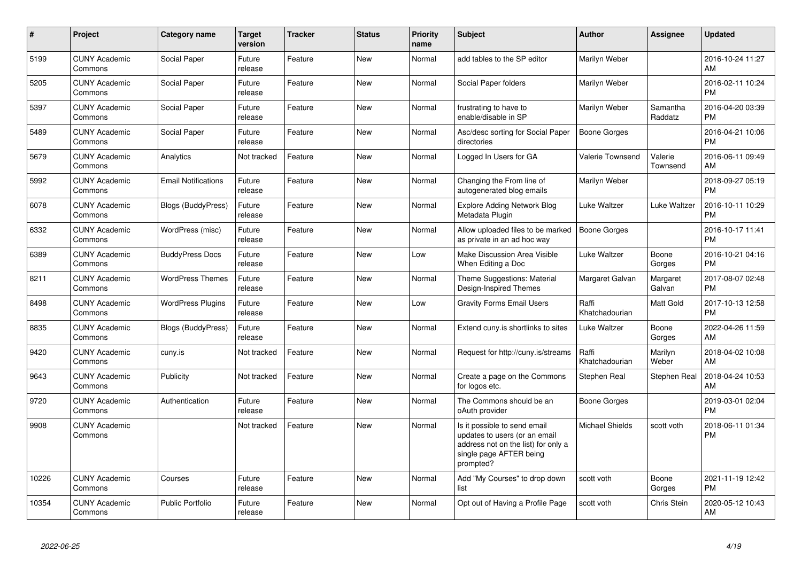| $\#$  | <b>Project</b>                  | Category name              | <b>Target</b><br>version | <b>Tracker</b> | <b>Status</b> | <b>Priority</b><br>name | <b>Subject</b>                                                                                                                               | Author                  | Assignee            | <b>Updated</b>                |
|-------|---------------------------------|----------------------------|--------------------------|----------------|---------------|-------------------------|----------------------------------------------------------------------------------------------------------------------------------------------|-------------------------|---------------------|-------------------------------|
| 5199  | <b>CUNY Academic</b><br>Commons | Social Paper               | Future<br>release        | Feature        | <b>New</b>    | Normal                  | add tables to the SP editor                                                                                                                  | Marilyn Weber           |                     | 2016-10-24 11:27<br>AM        |
| 5205  | <b>CUNY Academic</b><br>Commons | Social Paper               | Future<br>release        | Feature        | <b>New</b>    | Normal                  | Social Paper folders                                                                                                                         | Marilyn Weber           |                     | 2016-02-11 10:24<br><b>PM</b> |
| 5397  | <b>CUNY Academic</b><br>Commons | Social Paper               | Future<br>release        | Feature        | <b>New</b>    | Normal                  | frustrating to have to<br>enable/disable in SP                                                                                               | Marilyn Weber           | Samantha<br>Raddatz | 2016-04-20 03:39<br><b>PM</b> |
| 5489  | <b>CUNY Academic</b><br>Commons | Social Paper               | Future<br>release        | Feature        | <b>New</b>    | Normal                  | Asc/desc sorting for Social Paper<br>directories                                                                                             | <b>Boone Gorges</b>     |                     | 2016-04-21 10:06<br><b>PM</b> |
| 5679  | <b>CUNY Academic</b><br>Commons | Analytics                  | Not tracked              | Feature        | <b>New</b>    | Normal                  | Logged In Users for GA                                                                                                                       | <b>Valerie Townsend</b> | Valerie<br>Townsend | 2016-06-11 09:49<br>AM        |
| 5992  | <b>CUNY Academic</b><br>Commons | <b>Email Notifications</b> | Future<br>release        | Feature        | <b>New</b>    | Normal                  | Changing the From line of<br>autogenerated blog emails                                                                                       | Marilyn Weber           |                     | 2018-09-27 05:19<br><b>PM</b> |
| 6078  | <b>CUNY Academic</b><br>Commons | Blogs (BuddyPress)         | Future<br>release        | Feature        | <b>New</b>    | Normal                  | <b>Explore Adding Network Blog</b><br>Metadata Plugin                                                                                        | Luke Waltzer            | Luke Waltzer        | 2016-10-11 10:29<br><b>PM</b> |
| 6332  | <b>CUNY Academic</b><br>Commons | WordPress (misc)           | Future<br>release        | Feature        | <b>New</b>    | Normal                  | Allow uploaded files to be marked<br>as private in an ad hoc way                                                                             | <b>Boone Gorges</b>     |                     | 2016-10-17 11:41<br><b>PM</b> |
| 6389  | <b>CUNY Academic</b><br>Commons | <b>BuddyPress Docs</b>     | Future<br>release        | Feature        | <b>New</b>    | Low                     | Make Discussion Area Visible<br>When Editing a Doc                                                                                           | Luke Waltzer            | Boone<br>Gorges     | 2016-10-21 04:16<br><b>PM</b> |
| 8211  | <b>CUNY Academic</b><br>Commons | <b>WordPress Themes</b>    | Future<br>release        | Feature        | <b>New</b>    | Normal                  | Theme Suggestions: Material<br>Design-Inspired Themes                                                                                        | Margaret Galvan         | Margaret<br>Galvan  | 2017-08-07 02:48<br><b>PM</b> |
| 8498  | <b>CUNY Academic</b><br>Commons | <b>WordPress Plugins</b>   | Future<br>release        | Feature        | <b>New</b>    | Low                     | <b>Gravity Forms Email Users</b>                                                                                                             | Raffi<br>Khatchadourian | Matt Gold           | 2017-10-13 12:58<br><b>PM</b> |
| 8835  | <b>CUNY Academic</b><br>Commons | <b>Blogs (BuddyPress)</b>  | Future<br>release        | Feature        | <b>New</b>    | Normal                  | Extend cuny.is shortlinks to sites                                                                                                           | Luke Waltzer            | Boone<br>Gorges     | 2022-04-26 11:59<br>AM        |
| 9420  | <b>CUNY Academic</b><br>Commons | cuny.is                    | Not tracked              | Feature        | <b>New</b>    | Normal                  | Request for http://cuny.is/streams                                                                                                           | Raffi<br>Khatchadourian | Marilyn<br>Weber    | 2018-04-02 10:08<br>AM        |
| 9643  | <b>CUNY Academic</b><br>Commons | Publicity                  | Not tracked              | Feature        | <b>New</b>    | Normal                  | Create a page on the Commons<br>for logos etc.                                                                                               | Stephen Real            | Stephen Real        | 2018-04-24 10:53<br>AM        |
| 9720  | <b>CUNY Academic</b><br>Commons | Authentication             | Future<br>release        | Feature        | <b>New</b>    | Normal                  | The Commons should be an<br>oAuth provider                                                                                                   | Boone Gorges            |                     | 2019-03-01 02:04<br><b>PM</b> |
| 9908  | <b>CUNY Academic</b><br>Commons |                            | Not tracked              | Feature        | <b>New</b>    | Normal                  | Is it possible to send email<br>updates to users (or an email<br>address not on the list) for only a<br>single page AFTER being<br>prompted? | <b>Michael Shields</b>  | scott voth          | 2018-06-11 01:34<br><b>PM</b> |
| 10226 | <b>CUNY Academic</b><br>Commons | Courses                    | Future<br>release        | Feature        | <b>New</b>    | Normal                  | Add "My Courses" to drop down<br>list                                                                                                        | scott voth              | Boone<br>Gorges     | 2021-11-19 12:42<br><b>PM</b> |
| 10354 | <b>CUNY Academic</b><br>Commons | <b>Public Portfolio</b>    | Future<br>release        | Feature        | <b>New</b>    | Normal                  | Opt out of Having a Profile Page                                                                                                             | scott voth              | Chris Stein         | 2020-05-12 10:43<br>AM        |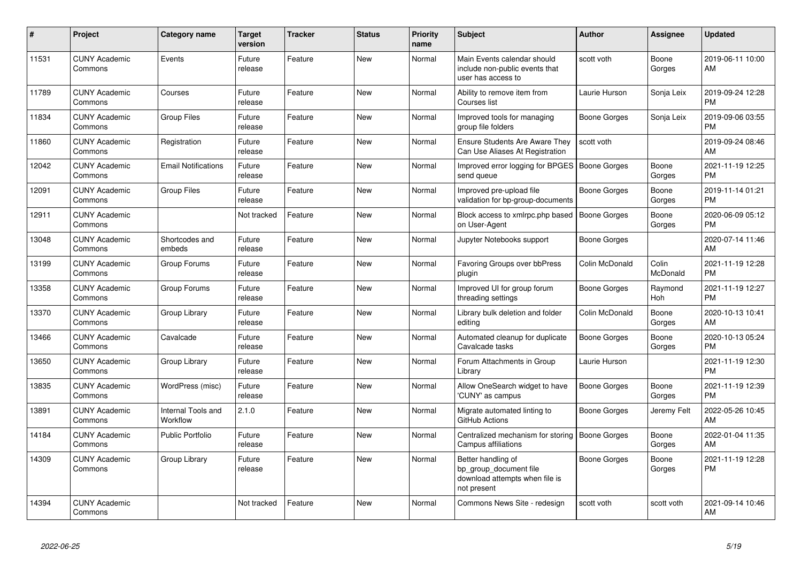| #     | <b>Project</b>                  | <b>Category name</b>           | <b>Target</b><br>version | <b>Tracker</b> | <b>Status</b> | <b>Priority</b><br>name | <b>Subject</b>                                                                                | <b>Author</b>       | <b>Assignee</b>   | <b>Updated</b>                |
|-------|---------------------------------|--------------------------------|--------------------------|----------------|---------------|-------------------------|-----------------------------------------------------------------------------------------------|---------------------|-------------------|-------------------------------|
| 11531 | <b>CUNY Academic</b><br>Commons | Events                         | Future<br>release        | Feature        | <b>New</b>    | Normal                  | Main Events calendar should<br>include non-public events that<br>user has access to           | scott voth          | Boone<br>Gorges   | 2019-06-11 10:00<br>AM        |
| 11789 | <b>CUNY Academic</b><br>Commons | Courses                        | Future<br>release        | Feature        | <b>New</b>    | Normal                  | Ability to remove item from<br>Courses list                                                   | Laurie Hurson       | Sonja Leix        | 2019-09-24 12:28<br><b>PM</b> |
| 11834 | <b>CUNY Academic</b><br>Commons | <b>Group Files</b>             | Future<br>release        | Feature        | <b>New</b>    | Normal                  | Improved tools for managing<br>group file folders                                             | Boone Gorges        | Sonja Leix        | 2019-09-06 03:55<br><b>PM</b> |
| 11860 | <b>CUNY Academic</b><br>Commons | Registration                   | Future<br>release        | Feature        | <b>New</b>    | Normal                  | <b>Ensure Students Are Aware They</b><br>Can Use Aliases At Registration                      | scott voth          |                   | 2019-09-24 08:46<br>AM        |
| 12042 | <b>CUNY Academic</b><br>Commons | <b>Email Notifications</b>     | Future<br>release        | Feature        | <b>New</b>    | Normal                  | Improved error logging for BPGES   Boone Gorges<br>send queue                                 |                     | Boone<br>Gorges   | 2021-11-19 12:25<br><b>PM</b> |
| 12091 | <b>CUNY Academic</b><br>Commons | <b>Group Files</b>             | Future<br>release        | Feature        | New           | Normal                  | Improved pre-upload file<br>validation for bp-group-documents                                 | Boone Gorges        | Boone<br>Gorges   | 2019-11-14 01:21<br><b>PM</b> |
| 12911 | <b>CUNY Academic</b><br>Commons |                                | Not tracked              | Feature        | <b>New</b>    | Normal                  | Block access to xmlrpc.php based<br>on User-Agent                                             | Boone Gorges        | Boone<br>Gorges   | 2020-06-09 05:12<br><b>PM</b> |
| 13048 | <b>CUNY Academic</b><br>Commons | Shortcodes and<br>embeds       | Future<br>release        | Feature        | <b>New</b>    | Normal                  | Jupyter Notebooks support                                                                     | Boone Gorges        |                   | 2020-07-14 11:46<br>AM        |
| 13199 | <b>CUNY Academic</b><br>Commons | Group Forums                   | Future<br>release        | Feature        | <b>New</b>    | Normal                  | <b>Favoring Groups over bbPress</b><br>plugin                                                 | Colin McDonald      | Colin<br>McDonald | 2021-11-19 12:28<br><b>PM</b> |
| 13358 | <b>CUNY Academic</b><br>Commons | Group Forums                   | Future<br>release        | Feature        | New           | Normal                  | Improved UI for group forum<br>threading settings                                             | Boone Gorges        | Raymond<br>Hoh    | 2021-11-19 12:27<br><b>PM</b> |
| 13370 | <b>CUNY Academic</b><br>Commons | Group Library                  | Future<br>release        | Feature        | <b>New</b>    | Normal                  | Library bulk deletion and folder<br>editing                                                   | Colin McDonald      | Boone<br>Gorges   | 2020-10-13 10:41<br>AM        |
| 13466 | <b>CUNY Academic</b><br>Commons | Cavalcade                      | Future<br>release        | Feature        | <b>New</b>    | Normal                  | Automated cleanup for duplicate<br>Cavalcade tasks                                            | Boone Gorges        | Boone<br>Gorges   | 2020-10-13 05:24<br><b>PM</b> |
| 13650 | <b>CUNY Academic</b><br>Commons | Group Library                  | Future<br>release        | Feature        | <b>New</b>    | Normal                  | Forum Attachments in Group<br>Library                                                         | Laurie Hurson       |                   | 2021-11-19 12:30<br><b>PM</b> |
| 13835 | <b>CUNY Academic</b><br>Commons | WordPress (misc)               | Future<br>release        | Feature        | <b>New</b>    | Normal                  | Allow OneSearch widget to have<br>'CUNY' as campus                                            | <b>Boone Gorges</b> | Boone<br>Gorges   | 2021-11-19 12:39<br><b>PM</b> |
| 13891 | <b>CUNY Academic</b><br>Commons | Internal Tools and<br>Workflow | 2.1.0                    | Feature        | <b>New</b>    | Normal                  | Migrate automated linting to<br>GitHub Actions                                                | Boone Gorges        | Jeremy Felt       | 2022-05-26 10:45<br>AM        |
| 14184 | <b>CUNY Academic</b><br>Commons | <b>Public Portfolio</b>        | Future<br>release        | Feature        | <b>New</b>    | Normal                  | Centralized mechanism for storing<br>Campus affiliations                                      | <b>Boone Gorges</b> | Boone<br>Gorges   | 2022-01-04 11:35<br>AM        |
| 14309 | <b>CUNY Academic</b><br>Commons | Group Library                  | Future<br>release        | Feature        | <b>New</b>    | Normal                  | Better handling of<br>bp_group_document file<br>download attempts when file is<br>not present | Boone Gorges        | Boone<br>Gorges   | 2021-11-19 12:28<br><b>PM</b> |
| 14394 | <b>CUNY Academic</b><br>Commons |                                | Not tracked              | Feature        | <b>New</b>    | Normal                  | Commons News Site - redesign                                                                  | scott voth          | scott voth        | 2021-09-14 10:46<br>AM        |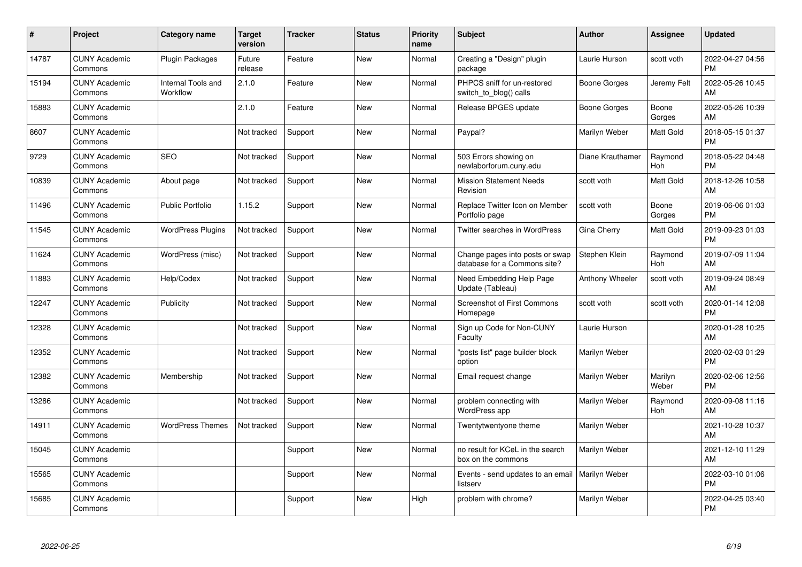| #     | Project                         | <b>Category name</b>           | <b>Target</b><br>version | <b>Tracker</b> | <b>Status</b> | <b>Priority</b><br>name | Subject                                                         | <b>Author</b>       | <b>Assignee</b>  | <b>Updated</b>                |
|-------|---------------------------------|--------------------------------|--------------------------|----------------|---------------|-------------------------|-----------------------------------------------------------------|---------------------|------------------|-------------------------------|
| 14787 | <b>CUNY Academic</b><br>Commons | <b>Plugin Packages</b>         | Future<br>release        | Feature        | <b>New</b>    | Normal                  | Creating a "Design" plugin<br>package                           | Laurie Hurson       | scott voth       | 2022-04-27 04:56<br><b>PM</b> |
| 15194 | <b>CUNY Academic</b><br>Commons | Internal Tools and<br>Workflow | 2.1.0                    | Feature        | <b>New</b>    | Normal                  | PHPCS sniff for un-restored<br>switch_to_blog() calls           | <b>Boone Gorges</b> | Jeremy Felt      | 2022-05-26 10:45<br>AM        |
| 15883 | <b>CUNY Academic</b><br>Commons |                                | 2.1.0                    | Feature        | <b>New</b>    | Normal                  | Release BPGES update                                            | <b>Boone Gorges</b> | Boone<br>Gorges  | 2022-05-26 10:39<br>AM        |
| 8607  | <b>CUNY Academic</b><br>Commons |                                | Not tracked              | Support        | New           | Normal                  | Paypal?                                                         | Marilyn Weber       | Matt Gold        | 2018-05-15 01:37<br><b>PM</b> |
| 9729  | <b>CUNY Academic</b><br>Commons | <b>SEO</b>                     | Not tracked              | Support        | <b>New</b>    | Normal                  | 503 Errors showing on<br>newlaborforum.cuny.edu                 | Diane Krauthamer    | Raymond<br>Hoh   | 2018-05-22 04:48<br><b>PM</b> |
| 10839 | <b>CUNY Academic</b><br>Commons | About page                     | Not tracked              | Support        | New           | Normal                  | <b>Mission Statement Needs</b><br>Revision                      | scott voth          | Matt Gold        | 2018-12-26 10:58<br>AM        |
| 11496 | <b>CUNY Academic</b><br>Commons | <b>Public Portfolio</b>        | 1.15.2                   | Support        | <b>New</b>    | Normal                  | Replace Twitter Icon on Member<br>Portfolio page                | scott voth          | Boone<br>Gorges  | 2019-06-06 01:03<br><b>PM</b> |
| 11545 | <b>CUNY Academic</b><br>Commons | <b>WordPress Plugins</b>       | Not tracked              | Support        | <b>New</b>    | Normal                  | Twitter searches in WordPress                                   | Gina Cherry         | Matt Gold        | 2019-09-23 01:03<br><b>PM</b> |
| 11624 | <b>CUNY Academic</b><br>Commons | WordPress (misc)               | Not tracked              | Support        | <b>New</b>    | Normal                  | Change pages into posts or swap<br>database for a Commons site? | Stephen Klein       | Raymond<br>Hoh   | 2019-07-09 11:04<br>AM        |
| 11883 | <b>CUNY Academic</b><br>Commons | Help/Codex                     | Not tracked              | Support        | <b>New</b>    | Normal                  | Need Embedding Help Page<br>Update (Tableau)                    | Anthony Wheeler     | scott voth       | 2019-09-24 08:49<br>AM        |
| 12247 | <b>CUNY Academic</b><br>Commons | Publicity                      | Not tracked              | Support        | <b>New</b>    | Normal                  | <b>Screenshot of First Commons</b><br>Homepage                  | scott voth          | scott voth       | 2020-01-14 12:08<br><b>PM</b> |
| 12328 | <b>CUNY Academic</b><br>Commons |                                | Not tracked              | Support        | <b>New</b>    | Normal                  | Sign up Code for Non-CUNY<br>Faculty                            | Laurie Hurson       |                  | 2020-01-28 10:25<br>AM        |
| 12352 | <b>CUNY Academic</b><br>Commons |                                | Not tracked              | Support        | New           | Normal                  | 'posts list" page builder block<br>option                       | Marilyn Weber       |                  | 2020-02-03 01:29<br><b>PM</b> |
| 12382 | <b>CUNY Academic</b><br>Commons | Membership                     | Not tracked              | Support        | New           | Normal                  | Email request change                                            | Marilyn Weber       | Marilyn<br>Weber | 2020-02-06 12:56<br><b>PM</b> |
| 13286 | <b>CUNY Academic</b><br>Commons |                                | Not tracked              | Support        | New           | Normal                  | problem connecting with<br>WordPress app                        | Marilyn Weber       | Raymond<br>Hoh   | 2020-09-08 11:16<br>AM        |
| 14911 | <b>CUNY Academic</b><br>Commons | <b>WordPress Themes</b>        | Not tracked              | Support        | <b>New</b>    | Normal                  | Twentytwentyone theme                                           | Marilyn Weber       |                  | 2021-10-28 10:37<br>AM        |
| 15045 | <b>CUNY Academic</b><br>Commons |                                |                          | Support        | New           | Normal                  | no result for KCeL in the search<br>box on the commons          | Marilyn Weber       |                  | 2021-12-10 11:29<br>AM        |
| 15565 | <b>CUNY Academic</b><br>Commons |                                |                          | Support        | New           | Normal                  | Events - send updates to an email<br>listserv                   | Marilyn Weber       |                  | 2022-03-10 01:06<br><b>PM</b> |
| 15685 | <b>CUNY Academic</b><br>Commons |                                |                          | Support        | <b>New</b>    | High                    | problem with chrome?                                            | Marilyn Weber       |                  | 2022-04-25 03:40<br>PM        |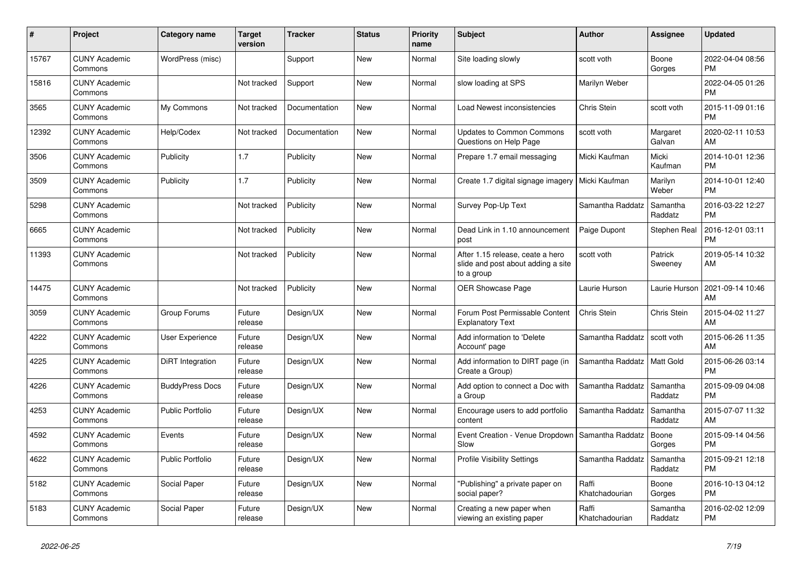| #     | Project                         | Category name           | <b>Target</b><br>version | <b>Tracker</b> | <b>Status</b> | <b>Priority</b><br>name | <b>Subject</b>                                                                       | <b>Author</b>           | Assignee            | <b>Updated</b>                |
|-------|---------------------------------|-------------------------|--------------------------|----------------|---------------|-------------------------|--------------------------------------------------------------------------------------|-------------------------|---------------------|-------------------------------|
| 15767 | <b>CUNY Academic</b><br>Commons | WordPress (misc)        |                          | Support        | New           | Normal                  | Site loading slowly                                                                  | scott voth              | Boone<br>Gorges     | 2022-04-04 08:56<br><b>PM</b> |
| 15816 | <b>CUNY Academic</b><br>Commons |                         | Not tracked              | Support        | <b>New</b>    | Normal                  | slow loading at SPS                                                                  | Marilyn Weber           |                     | 2022-04-05 01:26<br><b>PM</b> |
| 3565  | <b>CUNY Academic</b><br>Commons | My Commons              | Not tracked              | Documentation  | <b>New</b>    | Normal                  | Load Newest inconsistencies                                                          | Chris Stein             | scott voth          | 2015-11-09 01:16<br><b>PM</b> |
| 12392 | <b>CUNY Academic</b><br>Commons | Help/Codex              | Not tracked              | Documentation  | New           | Normal                  | <b>Updates to Common Commons</b><br>Questions on Help Page                           | scott voth              | Margaret<br>Galvan  | 2020-02-11 10:53<br>AM        |
| 3506  | <b>CUNY Academic</b><br>Commons | Publicity               | 1.7                      | Publicity      | <b>New</b>    | Normal                  | Prepare 1.7 email messaging                                                          | Micki Kaufman           | Micki<br>Kaufman    | 2014-10-01 12:36<br><b>PM</b> |
| 3509  | <b>CUNY Academic</b><br>Commons | Publicity               | 1.7                      | Publicity      | <b>New</b>    | Normal                  | Create 1.7 digital signage imagery                                                   | Micki Kaufman           | Marilyn<br>Weber    | 2014-10-01 12:40<br><b>PM</b> |
| 5298  | <b>CUNY Academic</b><br>Commons |                         | Not tracked              | Publicity      | <b>New</b>    | Normal                  | Survey Pop-Up Text                                                                   | Samantha Raddatz        | Samantha<br>Raddatz | 2016-03-22 12:27<br><b>PM</b> |
| 6665  | <b>CUNY Academic</b><br>Commons |                         | Not tracked              | Publicity      | <b>New</b>    | Normal                  | Dead Link in 1.10 announcement<br>post                                               | Paige Dupont            | Stephen Real        | 2016-12-01 03:11<br><b>PM</b> |
| 11393 | <b>CUNY Academic</b><br>Commons |                         | Not tracked              | Publicity      | <b>New</b>    | Normal                  | After 1.15 release, ceate a hero<br>slide and post about adding a site<br>to a group | scott voth              | Patrick<br>Sweeney  | 2019-05-14 10:32<br>AM        |
| 14475 | <b>CUNY Academic</b><br>Commons |                         | Not tracked              | Publicity      | <b>New</b>    | Normal                  | <b>OER Showcase Page</b>                                                             | Laurie Hurson           | Laurie Hurson       | 2021-09-14 10:46<br>AM        |
| 3059  | <b>CUNY Academic</b><br>Commons | Group Forums            | Future<br>release        | Design/UX      | <b>New</b>    | Normal                  | Forum Post Permissable Content<br><b>Explanatory Text</b>                            | Chris Stein             | Chris Stein         | 2015-04-02 11:27<br>AM        |
| 4222  | <b>CUNY Academic</b><br>Commons | User Experience         | Future<br>release        | Design/UX      | <b>New</b>    | Normal                  | Add information to 'Delete<br>Account' page                                          | Samantha Raddatz        | scott voth          | 2015-06-26 11:35<br>AM        |
| 4225  | <b>CUNY Academic</b><br>Commons | DiRT Integration        | Future<br>release        | Design/UX      | <b>New</b>    | Normal                  | Add information to DIRT page (in<br>Create a Group)                                  | Samantha Raddatz        | <b>Matt Gold</b>    | 2015-06-26 03:14<br><b>PM</b> |
| 4226  | <b>CUNY Academic</b><br>Commons | <b>BuddyPress Docs</b>  | Future<br>release        | Design/UX      | <b>New</b>    | Normal                  | Add option to connect a Doc with<br>a Group                                          | Samantha Raddatz        | Samantha<br>Raddatz | 2015-09-09 04:08<br><b>PM</b> |
| 4253  | <b>CUNY Academic</b><br>Commons | <b>Public Portfolio</b> | Future<br>release        | Design/UX      | New           | Normal                  | Encourage users to add portfolio<br>content                                          | Samantha Raddatz        | Samantha<br>Raddatz | 2015-07-07 11:32<br>AM        |
| 4592  | <b>CUNY Academic</b><br>Commons | Events                  | Future<br>release        | Design/UX      | <b>New</b>    | Normal                  | Event Creation - Venue Dropdown<br>Slow                                              | Samantha Raddatz        | Boone<br>Gorges     | 2015-09-14 04:56<br><b>PM</b> |
| 4622  | <b>CUNY Academic</b><br>Commons | <b>Public Portfolio</b> | Future<br>release        | Design/UX      | <b>New</b>    | Normal                  | <b>Profile Visibility Settings</b>                                                   | Samantha Raddatz        | Samantha<br>Raddatz | 2015-09-21 12:18<br><b>PM</b> |
| 5182  | <b>CUNY Academic</b><br>Commons | Social Paper            | Future<br>release        | Design/UX      | <b>New</b>    | Normal                  | 'Publishing" a private paper on<br>social paper?                                     | Raffi<br>Khatchadourian | Boone<br>Gorges     | 2016-10-13 04:12<br><b>PM</b> |
| 5183  | <b>CUNY Academic</b><br>Commons | Social Paper            | Future<br>release        | Design/UX      | <b>New</b>    | Normal                  | Creating a new paper when<br>viewing an existing paper                               | Raffi<br>Khatchadourian | Samantha<br>Raddatz | 2016-02-02 12:09<br><b>PM</b> |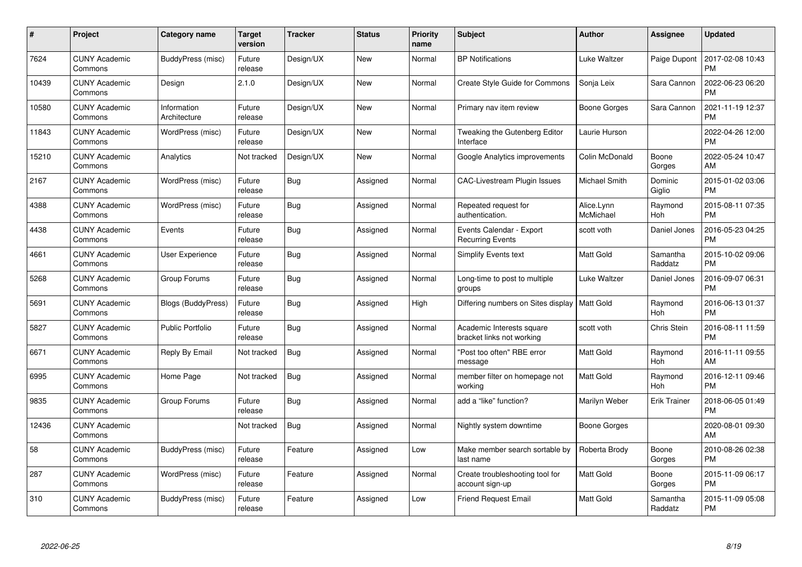| $\#$  | Project                         | <b>Category name</b>        | <b>Target</b><br>version | <b>Tracker</b> | <b>Status</b> | <b>Priority</b><br>name | <b>Subject</b>                                         | Author                  | <b>Assignee</b>       | <b>Updated</b>                |
|-------|---------------------------------|-----------------------------|--------------------------|----------------|---------------|-------------------------|--------------------------------------------------------|-------------------------|-----------------------|-------------------------------|
| 7624  | <b>CUNY Academic</b><br>Commons | BuddyPress (misc)           | Future<br>release        | Design/UX      | <b>New</b>    | Normal                  | <b>BP</b> Notifications                                | Luke Waltzer            | Paige Dupont          | 2017-02-08 10:43<br><b>PM</b> |
| 10439 | <b>CUNY Academic</b><br>Commons | Design                      | 2.1.0                    | Design/UX      | <b>New</b>    | Normal                  | <b>Create Style Guide for Commons</b>                  | Sonja Leix              | Sara Cannon           | 2022-06-23 06:20<br><b>PM</b> |
| 10580 | <b>CUNY Academic</b><br>Commons | Information<br>Architecture | Future<br>release        | Design/UX      | New           | Normal                  | Primary nav item review                                | Boone Gorges            | Sara Cannon           | 2021-11-19 12:37<br><b>PM</b> |
| 11843 | <b>CUNY Academic</b><br>Commons | WordPress (misc)            | Future<br>release        | Design/UX      | <b>New</b>    | Normal                  | Tweaking the Gutenberg Editor<br>Interface             | Laurie Hurson           |                       | 2022-04-26 12:00<br><b>PM</b> |
| 15210 | <b>CUNY Academic</b><br>Commons | Analytics                   | Not tracked              | Design/UX      | <b>New</b>    | Normal                  | Google Analytics improvements                          | Colin McDonald          | Boone<br>Gorges       | 2022-05-24 10:47<br>AM        |
| 2167  | <b>CUNY Academic</b><br>Commons | WordPress (misc)            | Future<br>release        | Bug            | Assigned      | Normal                  | <b>CAC-Livestream Plugin Issues</b>                    | Michael Smith           | Dominic<br>Giglio     | 2015-01-02 03:06<br><b>PM</b> |
| 4388  | <b>CUNY Academic</b><br>Commons | WordPress (misc)            | Future<br>release        | <b>Bug</b>     | Assigned      | Normal                  | Repeated request for<br>authentication.                | Alice.Lynn<br>McMichael | Raymond<br>Hoh        | 2015-08-11 07:35<br><b>PM</b> |
| 4438  | <b>CUNY Academic</b><br>Commons | Events                      | Future<br>release        | <b>Bug</b>     | Assigned      | Normal                  | Events Calendar - Export<br><b>Recurring Events</b>    | scott voth              | Daniel Jones          | 2016-05-23 04:25<br><b>PM</b> |
| 4661  | <b>CUNY Academic</b><br>Commons | <b>User Experience</b>      | Future<br>release        | Bug            | Assigned      | Normal                  | <b>Simplify Events text</b>                            | <b>Matt Gold</b>        | Samantha<br>Raddatz   | 2015-10-02 09:06<br><b>PM</b> |
| 5268  | <b>CUNY Academic</b><br>Commons | Group Forums                | Future<br>release        | Bug            | Assigned      | Normal                  | Long-time to post to multiple<br>groups                | Luke Waltzer            | Daniel Jones          | 2016-09-07 06:31<br><b>PM</b> |
| 5691  | <b>CUNY Academic</b><br>Commons | Blogs (BuddyPress)          | Future<br>release        | <b>Bug</b>     | Assigned      | High                    | Differing numbers on Sites display                     | <b>Matt Gold</b>        | Raymond<br>Hoh        | 2016-06-13 01:37<br><b>PM</b> |
| 5827  | <b>CUNY Academic</b><br>Commons | <b>Public Portfolio</b>     | Future<br>release        | <b>Bug</b>     | Assigned      | Normal                  | Academic Interests square<br>bracket links not working | scott voth              | Chris Stein           | 2016-08-11 11:59<br><b>PM</b> |
| 6671  | <b>CUNY Academic</b><br>Commons | Reply By Email              | Not tracked              | Bug            | Assigned      | Normal                  | 'Post too often" RBE error<br>message                  | <b>Matt Gold</b>        | Raymond<br><b>Hoh</b> | 2016-11-11 09:55<br>AM        |
| 6995  | <b>CUNY Academic</b><br>Commons | Home Page                   | Not tracked              | <b>Bug</b>     | Assigned      | Normal                  | member filter on homepage not<br>working               | Matt Gold               | Raymond<br>Hoh        | 2016-12-11 09:46<br><b>PM</b> |
| 9835  | <b>CUNY Academic</b><br>Commons | Group Forums                | Future<br>release        | <b>Bug</b>     | Assigned      | Normal                  | add a "like" function?                                 | Marilyn Weber           | <b>Erik Trainer</b>   | 2018-06-05 01:49<br><b>PM</b> |
| 12436 | <b>CUNY Academic</b><br>Commons |                             | Not tracked              | <b>Bug</b>     | Assigned      | Normal                  | Nightly system downtime                                | Boone Gorges            |                       | 2020-08-01 09:30<br>AM        |
| 58    | <b>CUNY Academic</b><br>Commons | BuddyPress (misc)           | Future<br>release        | Feature        | Assigned      | Low                     | Make member search sortable by<br>last name            | Roberta Brody           | Boone<br>Gorges       | 2010-08-26 02:38<br><b>PM</b> |
| 287   | <b>CUNY Academic</b><br>Commons | WordPress (misc)            | Future<br>release        | Feature        | Assigned      | Normal                  | Create troubleshooting tool for<br>account sign-up     | Matt Gold               | Boone<br>Gorges       | 2015-11-09 06:17<br><b>PM</b> |
| 310   | CUNY Academic<br>Commons        | BuddyPress (misc)           | Future<br>release        | Feature        | Assigned      | Low                     | <b>Friend Request Email</b>                            | <b>Matt Gold</b>        | Samantha<br>Raddatz   | 2015-11-09 05:08<br>PM        |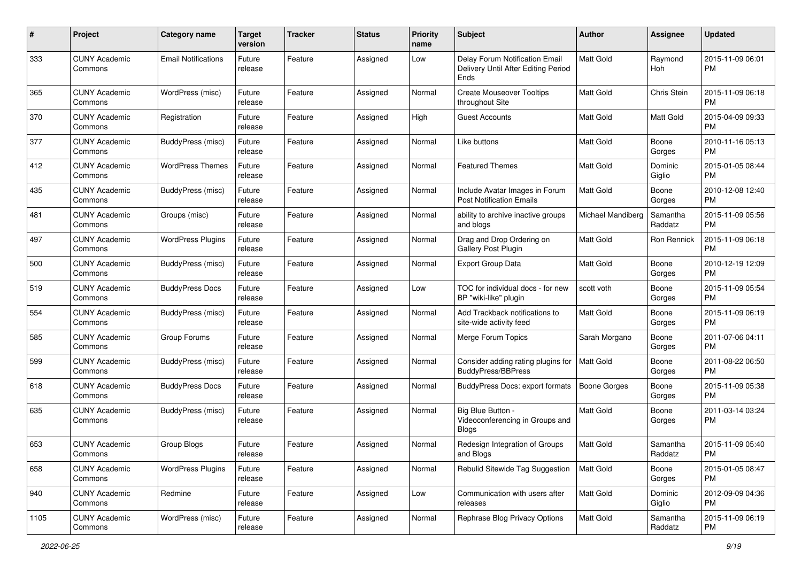| #    | Project                         | <b>Category name</b>       | <b>Target</b><br>version | <b>Tracker</b> | <b>Status</b> | <b>Priority</b><br>name | Subject                                                                       | Author              | <b>Assignee</b>     | <b>Updated</b>                |
|------|---------------------------------|----------------------------|--------------------------|----------------|---------------|-------------------------|-------------------------------------------------------------------------------|---------------------|---------------------|-------------------------------|
| 333  | <b>CUNY Academic</b><br>Commons | <b>Email Notifications</b> | Future<br>release        | Feature        | Assigned      | Low                     | Delay Forum Notification Email<br>Delivery Until After Editing Period<br>Ends | <b>Matt Gold</b>    | Raymond<br>Hoh      | 2015-11-09 06:01<br>PM        |
| 365  | <b>CUNY Academic</b><br>Commons | WordPress (misc)           | Future<br>release        | Feature        | Assigned      | Normal                  | <b>Create Mouseover Tooltips</b><br>throughout Site                           | <b>Matt Gold</b>    | Chris Stein         | 2015-11-09 06:18<br><b>PM</b> |
| 370  | <b>CUNY Academic</b><br>Commons | Registration               | Future<br>release        | Feature        | Assigned      | High                    | <b>Guest Accounts</b>                                                         | Matt Gold           | Matt Gold           | 2015-04-09 09:33<br><b>PM</b> |
| 377  | <b>CUNY Academic</b><br>Commons | BuddyPress (misc)          | Future<br>release        | Feature        | Assigned      | Normal                  | Like buttons                                                                  | <b>Matt Gold</b>    | Boone<br>Gorges     | 2010-11-16 05:13<br><b>PM</b> |
| 412  | <b>CUNY Academic</b><br>Commons | <b>WordPress Themes</b>    | Future<br>release        | Feature        | Assigned      | Normal                  | <b>Featured Themes</b>                                                        | <b>Matt Gold</b>    | Dominic<br>Giglio   | 2015-01-05 08:44<br>PM        |
| 435  | <b>CUNY Academic</b><br>Commons | BuddyPress (misc)          | Future<br>release        | Feature        | Assigned      | Normal                  | Include Avatar Images in Forum<br><b>Post Notification Emails</b>             | Matt Gold           | Boone<br>Gorges     | 2010-12-08 12:40<br><b>PM</b> |
| 481  | <b>CUNY Academic</b><br>Commons | Groups (misc)              | Future<br>release        | Feature        | Assigned      | Normal                  | ability to archive inactive groups<br>and blogs                               | Michael Mandiberg   | Samantha<br>Raddatz | 2015-11-09 05:56<br><b>PM</b> |
| 497  | <b>CUNY Academic</b><br>Commons | <b>WordPress Plugins</b>   | Future<br>release        | Feature        | Assigned      | Normal                  | Drag and Drop Ordering on<br><b>Gallery Post Plugin</b>                       | Matt Gold           | Ron Rennick         | 2015-11-09 06:18<br><b>PM</b> |
| 500  | <b>CUNY Academic</b><br>Commons | BuddyPress (misc)          | Future<br>release        | Feature        | Assigned      | Normal                  | <b>Export Group Data</b>                                                      | <b>Matt Gold</b>    | Boone<br>Gorges     | 2010-12-19 12:09<br><b>PM</b> |
| 519  | <b>CUNY Academic</b><br>Commons | <b>BuddyPress Docs</b>     | Future<br>release        | Feature        | Assigned      | Low                     | TOC for individual docs - for new<br>BP "wiki-like" plugin                    | scott voth          | Boone<br>Gorges     | 2015-11-09 05:54<br><b>PM</b> |
| 554  | <b>CUNY Academic</b><br>Commons | BuddyPress (misc)          | Future<br>release        | Feature        | Assigned      | Normal                  | Add Trackback notifications to<br>site-wide activity feed                     | Matt Gold           | Boone<br>Gorges     | 2015-11-09 06:19<br><b>PM</b> |
| 585  | <b>CUNY Academic</b><br>Commons | Group Forums               | Future<br>release        | Feature        | Assigned      | Normal                  | Merge Forum Topics                                                            | Sarah Morgano       | Boone<br>Gorges     | 2011-07-06 04:11<br><b>PM</b> |
| 599  | <b>CUNY Academic</b><br>Commons | BuddyPress (misc)          | Future<br>release        | Feature        | Assigned      | Normal                  | Consider adding rating plugins for<br><b>BuddyPress/BBPress</b>               | <b>Matt Gold</b>    | Boone<br>Gorges     | 2011-08-22 06:50<br><b>PM</b> |
| 618  | <b>CUNY Academic</b><br>Commons | <b>BuddyPress Docs</b>     | Future<br>release        | Feature        | Assigned      | Normal                  | <b>BuddyPress Docs: export formats</b>                                        | <b>Boone Gorges</b> | Boone<br>Gorges     | 2015-11-09 05:38<br>PM        |
| 635  | <b>CUNY Academic</b><br>Commons | BuddyPress (misc)          | Future<br>release        | Feature        | Assigned      | Normal                  | Big Blue Button -<br>Videoconferencing in Groups and<br><b>Blogs</b>          | Matt Gold           | Boone<br>Gorges     | 2011-03-14 03:24<br>PM        |
| 653  | <b>CUNY Academic</b><br>Commons | Group Blogs                | Future<br>reiease        | Feature        | Assigned      | Normal                  | Redesign Integration of Groups<br>and Blogs                                   | Matt Gold           | Samantha<br>Raddatz | 2015-11-09 05:40<br>PM        |
| 658  | <b>CUNY Academic</b><br>Commons | <b>WordPress Plugins</b>   | Future<br>release        | Feature        | Assigned      | Normal                  | Rebulid Sitewide Tag Suggestion                                               | <b>Matt Gold</b>    | Boone<br>Gorges     | 2015-01-05 08:47<br>PM        |
| 940  | <b>CUNY Academic</b><br>Commons | Redmine                    | Future<br>release        | Feature        | Assigned      | Low                     | Communication with users after<br>releases                                    | Matt Gold           | Dominic<br>Giglio   | 2012-09-09 04:36<br>PM        |
| 1105 | <b>CUNY Academic</b><br>Commons | WordPress (misc)           | Future<br>release        | Feature        | Assigned      | Normal                  | Rephrase Blog Privacy Options                                                 | Matt Gold           | Samantha<br>Raddatz | 2015-11-09 06:19<br><b>PM</b> |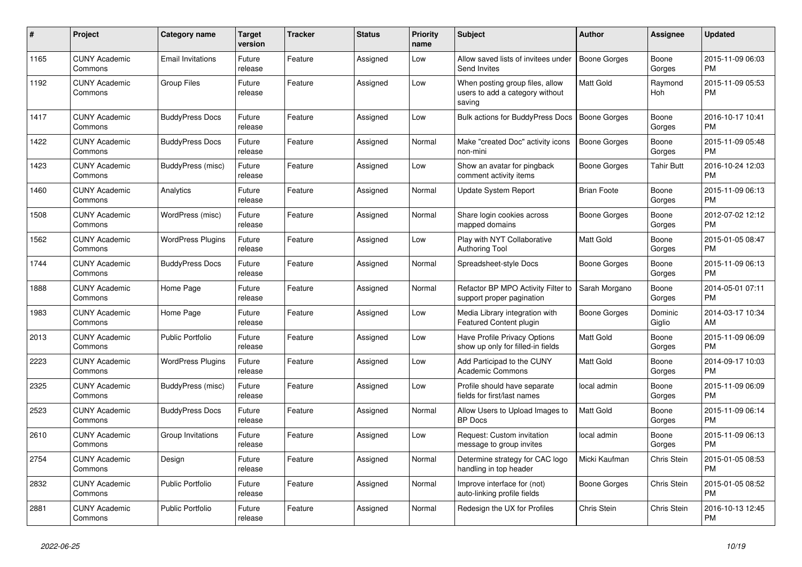| #    | Project                         | <b>Category name</b>     | <b>Target</b><br>version | <b>Tracker</b> | <b>Status</b> | <b>Priority</b><br>name | <b>Subject</b>                                                               | <b>Author</b>       | Assignee          | <b>Updated</b>                |
|------|---------------------------------|--------------------------|--------------------------|----------------|---------------|-------------------------|------------------------------------------------------------------------------|---------------------|-------------------|-------------------------------|
| 1165 | <b>CUNY Academic</b><br>Commons | <b>Email Invitations</b> | Future<br>release        | Feature        | Assigned      | Low                     | Allow saved lists of invitees under<br>Send Invites                          | <b>Boone Gorges</b> | Boone<br>Gorges   | 2015-11-09 06:03<br><b>PM</b> |
| 1192 | <b>CUNY Academic</b><br>Commons | <b>Group Files</b>       | Future<br>release        | Feature        | Assigned      | Low                     | When posting group files, allow<br>users to add a category without<br>saving | <b>Matt Gold</b>    | Raymond<br>Hoh    | 2015-11-09 05:53<br><b>PM</b> |
| 1417 | <b>CUNY Academic</b><br>Commons | <b>BuddyPress Docs</b>   | Future<br>release        | Feature        | Assigned      | Low                     | Bulk actions for BuddyPress Docs                                             | <b>Boone Gorges</b> | Boone<br>Gorges   | 2016-10-17 10:41<br><b>PM</b> |
| 1422 | <b>CUNY Academic</b><br>Commons | <b>BuddyPress Docs</b>   | Future<br>release        | Feature        | Assigned      | Normal                  | Make "created Doc" activity icons<br>non-mini                                | Boone Gorges        | Boone<br>Gorges   | 2015-11-09 05:48<br><b>PM</b> |
| 1423 | <b>CUNY Academic</b><br>Commons | BuddyPress (misc)        | Future<br>release        | Feature        | Assigned      | Low                     | Show an avatar for pingback<br>comment activity items                        | Boone Gorges        | Tahir Butt        | 2016-10-24 12:03<br><b>PM</b> |
| 1460 | <b>CUNY Academic</b><br>Commons | Analytics                | Future<br>release        | Feature        | Assigned      | Normal                  | Update System Report                                                         | <b>Brian Foote</b>  | Boone<br>Gorges   | 2015-11-09 06:13<br><b>PM</b> |
| 1508 | <b>CUNY Academic</b><br>Commons | WordPress (misc)         | Future<br>release        | Feature        | Assigned      | Normal                  | Share login cookies across<br>mapped domains                                 | Boone Gorges        | Boone<br>Gorges   | 2012-07-02 12:12<br><b>PM</b> |
| 1562 | <b>CUNY Academic</b><br>Commons | <b>WordPress Plugins</b> | Future<br>release        | Feature        | Assigned      | Low                     | Play with NYT Collaborative<br><b>Authoring Tool</b>                         | Matt Gold           | Boone<br>Gorges   | 2015-01-05 08:47<br><b>PM</b> |
| 1744 | <b>CUNY Academic</b><br>Commons | <b>BuddyPress Docs</b>   | Future<br>release        | Feature        | Assigned      | Normal                  | Spreadsheet-style Docs                                                       | <b>Boone Gorges</b> | Boone<br>Gorges   | 2015-11-09 06:13<br><b>PM</b> |
| 1888 | <b>CUNY Academic</b><br>Commons | Home Page                | Future<br>release        | Feature        | Assigned      | Normal                  | Refactor BP MPO Activity Filter to<br>support proper pagination              | Sarah Morgano       | Boone<br>Gorges   | 2014-05-01 07:11<br><b>PM</b> |
| 1983 | <b>CUNY Academic</b><br>Commons | Home Page                | Future<br>release        | Feature        | Assigned      | Low                     | Media Library integration with<br>Featured Content plugin                    | Boone Gorges        | Dominic<br>Giglio | 2014-03-17 10:34<br>AM        |
| 2013 | <b>CUNY Academic</b><br>Commons | <b>Public Portfolio</b>  | Future<br>release        | Feature        | Assigned      | Low                     | Have Profile Privacy Options<br>show up only for filled-in fields            | Matt Gold           | Boone<br>Gorges   | 2015-11-09 06:09<br><b>PM</b> |
| 2223 | <b>CUNY Academic</b><br>Commons | <b>WordPress Plugins</b> | Future<br>release        | Feature        | Assigned      | Low                     | Add Participad to the CUNY<br><b>Academic Commons</b>                        | Matt Gold           | Boone<br>Gorges   | 2014-09-17 10:03<br><b>PM</b> |
| 2325 | <b>CUNY Academic</b><br>Commons | BuddyPress (misc)        | Future<br>release        | Feature        | Assigned      | Low                     | Profile should have separate<br>fields for first/last names                  | local admin         | Boone<br>Gorges   | 2015-11-09 06:09<br><b>PM</b> |
| 2523 | <b>CUNY Academic</b><br>Commons | <b>BuddyPress Docs</b>   | Future<br>release        | Feature        | Assigned      | Normal                  | Allow Users to Upload Images to<br><b>BP</b> Docs                            | <b>Matt Gold</b>    | Boone<br>Gorges   | 2015-11-09 06:14<br><b>PM</b> |
| 2610 | <b>CUNY Academic</b><br>Commons | Group Invitations        | Future<br>release        | Feature        | Assigned      | Low                     | Request: Custom invitation<br>message to group invites                       | local admin         | Boone<br>Gorges   | 2015-11-09 06:13<br><b>PM</b> |
| 2754 | <b>CUNY Academic</b><br>Commons | Design                   | Future<br>release        | Feature        | Assigned      | Normal                  | Determine strategy for CAC logo<br>handling in top header                    | Micki Kaufman       | Chris Stein       | 2015-01-05 08:53<br><b>PM</b> |
| 2832 | <b>CUNY Academic</b><br>Commons | <b>Public Portfolio</b>  | Future<br>release        | Feature        | Assigned      | Normal                  | Improve interface for (not)<br>auto-linking profile fields                   | Boone Gorges        | Chris Stein       | 2015-01-05 08:52<br><b>PM</b> |
| 2881 | <b>CUNY Academic</b><br>Commons | <b>Public Portfolio</b>  | Future<br>release        | Feature        | Assigned      | Normal                  | Redesign the UX for Profiles                                                 | Chris Stein         | Chris Stein       | 2016-10-13 12:45<br><b>PM</b> |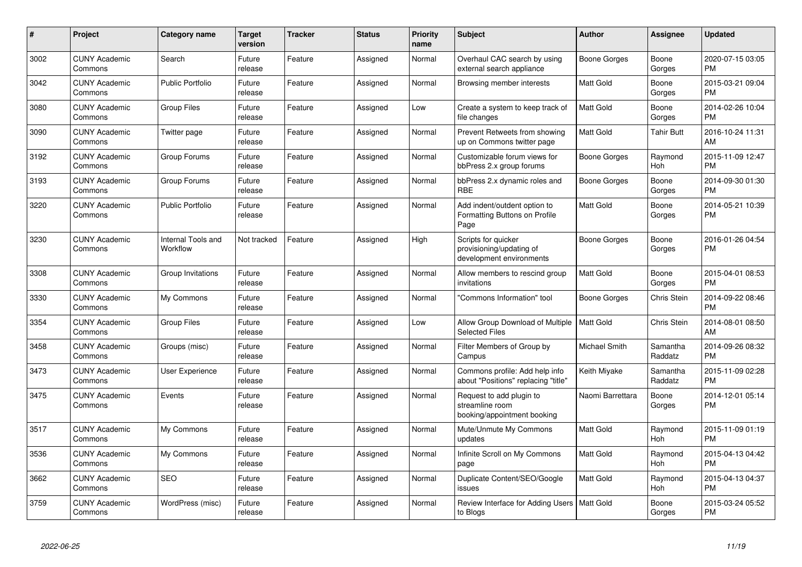| $\#$ | <b>Project</b>                  | Category name                  | <b>Target</b><br>version | <b>Tracker</b> | <b>Status</b> | <b>Priority</b><br>name | <b>Subject</b>                                                              | Author               | <b>Assignee</b>       | <b>Updated</b>                |
|------|---------------------------------|--------------------------------|--------------------------|----------------|---------------|-------------------------|-----------------------------------------------------------------------------|----------------------|-----------------------|-------------------------------|
| 3002 | <b>CUNY Academic</b><br>Commons | Search                         | Future<br>release        | Feature        | Assigned      | Normal                  | Overhaul CAC search by using<br>external search appliance                   | Boone Gorges         | Boone<br>Gorges       | 2020-07-15 03:05<br><b>PM</b> |
| 3042 | <b>CUNY Academic</b><br>Commons | <b>Public Portfolio</b>        | Future<br>release        | Feature        | Assigned      | Normal                  | Browsing member interests                                                   | <b>Matt Gold</b>     | Boone<br>Gorges       | 2015-03-21 09:04<br><b>PM</b> |
| 3080 | <b>CUNY Academic</b><br>Commons | <b>Group Files</b>             | Future<br>release        | Feature        | Assigned      | Low                     | Create a system to keep track of<br>file changes                            | <b>Matt Gold</b>     | Boone<br>Gorges       | 2014-02-26 10:04<br><b>PM</b> |
| 3090 | <b>CUNY Academic</b><br>Commons | Twitter page                   | Future<br>release        | Feature        | Assigned      | Normal                  | Prevent Retweets from showing<br>up on Commons twitter page                 | Matt Gold            | <b>Tahir Butt</b>     | 2016-10-24 11:31<br>AM        |
| 3192 | <b>CUNY Academic</b><br>Commons | Group Forums                   | Future<br>release        | Feature        | Assigned      | Normal                  | Customizable forum views for<br>bbPress 2.x group forums                    | Boone Gorges         | Raymond<br>Hoh        | 2015-11-09 12:47<br><b>PM</b> |
| 3193 | <b>CUNY Academic</b><br>Commons | Group Forums                   | Future<br>release        | Feature        | Assigned      | Normal                  | bbPress 2.x dynamic roles and<br><b>RBE</b>                                 | Boone Gorges         | Boone<br>Gorges       | 2014-09-30 01:30<br><b>PM</b> |
| 3220 | <b>CUNY Academic</b><br>Commons | <b>Public Portfolio</b>        | Future<br>release        | Feature        | Assigned      | Normal                  | Add indent/outdent option to<br>Formatting Buttons on Profile<br>Page       | <b>Matt Gold</b>     | Boone<br>Gorges       | 2014-05-21 10:39<br><b>PM</b> |
| 3230 | <b>CUNY Academic</b><br>Commons | Internal Tools and<br>Workflow | Not tracked              | Feature        | Assigned      | High                    | Scripts for quicker<br>provisioning/updating of<br>development environments | Boone Gorges         | Boone<br>Gorges       | 2016-01-26 04:54<br><b>PM</b> |
| 3308 | <b>CUNY Academic</b><br>Commons | Group Invitations              | Future<br>release        | Feature        | Assigned      | Normal                  | Allow members to rescind group<br>invitations                               | Matt Gold            | Boone<br>Gorges       | 2015-04-01 08:53<br><b>PM</b> |
| 3330 | <b>CUNY Academic</b><br>Commons | My Commons                     | Future<br>release        | Feature        | Assigned      | Normal                  | 'Commons Information" tool                                                  | Boone Gorges         | Chris Stein           | 2014-09-22 08:46<br><b>PM</b> |
| 3354 | <b>CUNY Academic</b><br>Commons | <b>Group Files</b>             | Future<br>release        | Feature        | Assigned      | Low                     | Allow Group Download of Multiple  <br><b>Selected Files</b>                 | <b>Matt Gold</b>     | Chris Stein           | 2014-08-01 08:50<br>AM        |
| 3458 | <b>CUNY Academic</b><br>Commons | Groups (misc)                  | Future<br>release        | Feature        | Assigned      | Normal                  | Filter Members of Group by<br>Campus                                        | <b>Michael Smith</b> | Samantha<br>Raddatz   | 2014-09-26 08:32<br><b>PM</b> |
| 3473 | <b>CUNY Academic</b><br>Commons | User Experience                | Future<br>release        | Feature        | Assigned      | Normal                  | Commons profile: Add help info<br>about "Positions" replacing "title"       | Keith Miyake         | Samantha<br>Raddatz   | 2015-11-09 02:28<br><b>PM</b> |
| 3475 | <b>CUNY Academic</b><br>Commons | Events                         | Future<br>release        | Feature        | Assigned      | Normal                  | Request to add plugin to<br>streamline room<br>booking/appointment booking  | Naomi Barrettara     | Boone<br>Gorges       | 2014-12-01 05:14<br><b>PM</b> |
| 3517 | <b>CUNY Academic</b><br>Commons | My Commons                     | Future<br>release        | Feature        | Assigned      | Normal                  | Mute/Unmute My Commons<br>updates                                           | Matt Gold            | Raymond<br><b>Hoh</b> | 2015-11-09 01:19<br><b>PM</b> |
| 3536 | <b>CUNY Academic</b><br>Commons | My Commons                     | Future<br>release        | Feature        | Assigned      | Normal                  | Infinite Scroll on My Commons<br>page                                       | <b>Matt Gold</b>     | Raymond<br><b>Hoh</b> | 2015-04-13 04:42<br><b>PM</b> |
| 3662 | <b>CUNY Academic</b><br>Commons | <b>SEO</b>                     | Future<br>release        | Feature        | Assigned      | Normal                  | Duplicate Content/SEO/Google<br>issues                                      | <b>Matt Gold</b>     | Raymond<br>Hoh        | 2015-04-13 04:37<br><b>PM</b> |
| 3759 | <b>CUNY Academic</b><br>Commons | WordPress (misc)               | Future<br>release        | Feature        | Assigned      | Normal                  | Review Interface for Adding Users   Matt Gold<br>to Blogs                   |                      | Boone<br>Gorges       | 2015-03-24 05:52<br><b>PM</b> |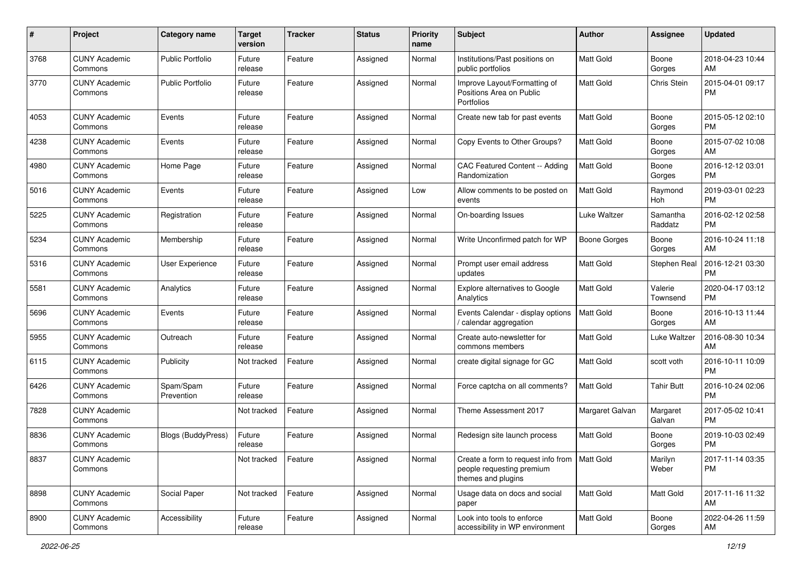| #    | Project                         | <b>Category name</b>      | <b>Target</b><br>version | <b>Tracker</b> | <b>Status</b> | <b>Priority</b><br>name | <b>Subject</b>                                                                                    | Author              | Assignee            | <b>Updated</b>                |
|------|---------------------------------|---------------------------|--------------------------|----------------|---------------|-------------------------|---------------------------------------------------------------------------------------------------|---------------------|---------------------|-------------------------------|
| 3768 | <b>CUNY Academic</b><br>Commons | <b>Public Portfolio</b>   | Future<br>release        | Feature        | Assigned      | Normal                  | Institutions/Past positions on<br>public portfolios                                               | <b>Matt Gold</b>    | Boone<br>Gorges     | 2018-04-23 10:44<br>AM        |
| 3770 | <b>CUNY Academic</b><br>Commons | <b>Public Portfolio</b>   | Future<br>release        | Feature        | Assigned      | Normal                  | Improve Layout/Formatting of<br>Positions Area on Public<br><b>Portfolios</b>                     | Matt Gold           | Chris Stein         | 2015-04-01 09:17<br><b>PM</b> |
| 4053 | <b>CUNY Academic</b><br>Commons | Events                    | Future<br>release        | Feature        | Assigned      | Normal                  | Create new tab for past events                                                                    | Matt Gold           | Boone<br>Gorges     | 2015-05-12 02:10<br><b>PM</b> |
| 4238 | <b>CUNY Academic</b><br>Commons | Events                    | Future<br>release        | Feature        | Assigned      | Normal                  | Copy Events to Other Groups?                                                                      | Matt Gold           | Boone<br>Gorges     | 2015-07-02 10:08<br>AM        |
| 4980 | <b>CUNY Academic</b><br>Commons | Home Page                 | Future<br>release        | Feature        | Assigned      | Normal                  | CAC Featured Content -- Adding<br>Randomization                                                   | Matt Gold           | Boone<br>Gorges     | 2016-12-12 03:01<br><b>PM</b> |
| 5016 | <b>CUNY Academic</b><br>Commons | Events                    | Future<br>release        | Feature        | Assigned      | Low                     | Allow comments to be posted on<br>events                                                          | <b>Matt Gold</b>    | Raymond<br>Hoh      | 2019-03-01 02:23<br><b>PM</b> |
| 5225 | <b>CUNY Academic</b><br>Commons | Registration              | Future<br>release        | Feature        | Assigned      | Normal                  | On-boarding Issues                                                                                | Luke Waltzer        | Samantha<br>Raddatz | 2016-02-12 02:58<br><b>PM</b> |
| 5234 | <b>CUNY Academic</b><br>Commons | Membership                | Future<br>release        | Feature        | Assigned      | Normal                  | Write Unconfirmed patch for WP                                                                    | <b>Boone Gorges</b> | Boone<br>Gorges     | 2016-10-24 11:18<br>AM        |
| 5316 | <b>CUNY Academic</b><br>Commons | User Experience           | Future<br>release        | Feature        | Assigned      | Normal                  | Prompt user email address<br>updates                                                              | <b>Matt Gold</b>    | Stephen Real        | 2016-12-21 03:30<br>PM        |
| 5581 | <b>CUNY Academic</b><br>Commons | Analytics                 | Future<br>release        | Feature        | Assigned      | Normal                  | <b>Explore alternatives to Google</b><br>Analytics                                                | Matt Gold           | Valerie<br>Townsend | 2020-04-17 03:12<br>PM        |
| 5696 | <b>CUNY Academic</b><br>Commons | Events                    | Future<br>release        | Feature        | Assigned      | Normal                  | Events Calendar - display options<br>calendar aggregation                                         | <b>Matt Gold</b>    | Boone<br>Gorges     | 2016-10-13 11:44<br>AM        |
| 5955 | <b>CUNY Academic</b><br>Commons | Outreach                  | Future<br>release        | Feature        | Assigned      | Normal                  | Create auto-newsletter for<br>commons members                                                     | Matt Gold           | Luke Waltzer        | 2016-08-30 10:34<br>AM        |
| 6115 | <b>CUNY Academic</b><br>Commons | Publicity                 | Not tracked              | Feature        | Assigned      | Normal                  | create digital signage for GC                                                                     | <b>Matt Gold</b>    | scott voth          | 2016-10-11 10:09<br><b>PM</b> |
| 6426 | <b>CUNY Academic</b><br>Commons | Spam/Spam<br>Prevention   | Future<br>release        | Feature        | Assigned      | Normal                  | Force captcha on all comments?                                                                    | <b>Matt Gold</b>    | <b>Tahir Butt</b>   | 2016-10-24 02:06<br><b>PM</b> |
| 7828 | <b>CUNY Academic</b><br>Commons |                           | Not tracked              | Feature        | Assigned      | Normal                  | Theme Assessment 2017                                                                             | Margaret Galvan     | Margaret<br>Galvan  | 2017-05-02 10:41<br><b>PM</b> |
| 8836 | <b>CUNY Academic</b><br>Commons | <b>Blogs (BuddyPress)</b> | Future<br>release        | Feature        | Assigned      | Normal                  | Redesign site launch process                                                                      | Matt Gold           | Boone<br>Gorges     | 2019-10-03 02:49<br><b>PM</b> |
| 8837 | <b>CUNY Academic</b><br>Commons |                           | Not tracked              | Feature        | Assigned      | Normal                  | Create a form to request info from   Matt Gold<br>people requesting premium<br>themes and plugins |                     | Marilyn<br>Weber    | 2017-11-14 03:35<br>PM        |
| 8898 | <b>CUNY Academic</b><br>Commons | Social Paper              | Not tracked              | Feature        | Assigned      | Normal                  | Usage data on docs and social<br>paper                                                            | Matt Gold           | Matt Gold           | 2017-11-16 11:32<br>AM        |
| 8900 | <b>CUNY Academic</b><br>Commons | Accessibility             | Future<br>release        | Feature        | Assigned      | Normal                  | Look into tools to enforce<br>accessibility in WP environment                                     | Matt Gold           | Boone<br>Gorges     | 2022-04-26 11:59<br>AM        |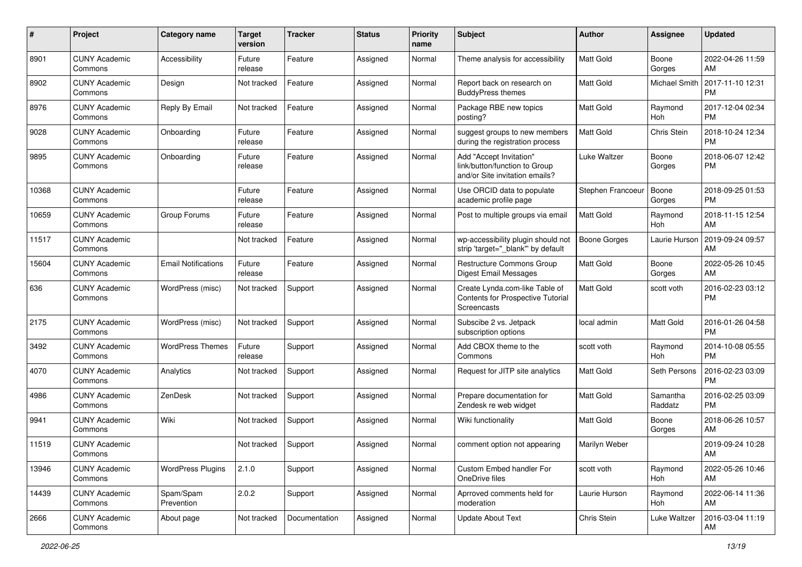| #     | Project                         | <b>Category name</b>       | <b>Target</b><br>version | <b>Tracker</b> | <b>Status</b> | <b>Priority</b><br>name | Subject                                                                                    | Author              | Assignee            | <b>Updated</b>                |
|-------|---------------------------------|----------------------------|--------------------------|----------------|---------------|-------------------------|--------------------------------------------------------------------------------------------|---------------------|---------------------|-------------------------------|
| 8901  | <b>CUNY Academic</b><br>Commons | Accessibility              | Future<br>release        | Feature        | Assigned      | Normal                  | Theme analysis for accessibility                                                           | <b>Matt Gold</b>    | Boone<br>Gorges     | 2022-04-26 11:59<br>AM        |
| 8902  | <b>CUNY Academic</b><br>Commons | Design                     | Not tracked              | Feature        | Assigned      | Normal                  | Report back on research on<br><b>BuddyPress themes</b>                                     | <b>Matt Gold</b>    | Michael Smith       | 2017-11-10 12:31<br><b>PM</b> |
| 8976  | <b>CUNY Academic</b><br>Commons | Reply By Email             | Not tracked              | Feature        | Assigned      | Normal                  | Package RBE new topics<br>posting?                                                         | <b>Matt Gold</b>    | Raymond<br>Hoh      | 2017-12-04 02:34<br><b>PM</b> |
| 9028  | <b>CUNY Academic</b><br>Commons | Onboarding                 | Future<br>release        | Feature        | Assigned      | Normal                  | suggest groups to new members<br>during the registration process                           | <b>Matt Gold</b>    | Chris Stein         | 2018-10-24 12:34<br><b>PM</b> |
| 9895  | <b>CUNY Academic</b><br>Commons | Onboarding                 | Future<br>release        | Feature        | Assigned      | Normal                  | Add "Accept Invitation"<br>link/button/function to Group<br>and/or Site invitation emails? | Luke Waltzer        | Boone<br>Gorges     | 2018-06-07 12:42<br><b>PM</b> |
| 10368 | <b>CUNY Academic</b><br>Commons |                            | Future<br>release        | Feature        | Assigned      | Normal                  | Use ORCID data to populate<br>academic profile page                                        | Stephen Francoeur   | Boone<br>Gorges     | 2018-09-25 01:53<br><b>PM</b> |
| 10659 | <b>CUNY Academic</b><br>Commons | Group Forums               | Future<br>release        | Feature        | Assigned      | Normal                  | Post to multiple groups via email                                                          | <b>Matt Gold</b>    | Raymond<br>Hoh      | 2018-11-15 12:54<br>AM        |
| 11517 | <b>CUNY Academic</b><br>Commons |                            | Not tracked              | Feature        | Assigned      | Normal                  | wp-accessibility plugin should not<br>strip 'target="_blank" by default                    | <b>Boone Gorges</b> | Laurie Hurson       | 2019-09-24 09:57<br>AM        |
| 15604 | <b>CUNY Academic</b><br>Commons | <b>Email Notifications</b> | Future<br>release        | Feature        | Assigned      | Normal                  | Restructure Commons Group<br>Digest Email Messages                                         | <b>Matt Gold</b>    | Boone<br>Gorges     | 2022-05-26 10:45<br>AM        |
| 636   | <b>CUNY Academic</b><br>Commons | WordPress (misc)           | Not tracked              | Support        | Assigned      | Normal                  | Create Lynda.com-like Table of<br>Contents for Prospective Tutorial<br>Screencasts         | <b>Matt Gold</b>    | scott voth          | 2016-02-23 03:12<br><b>PM</b> |
| 2175  | <b>CUNY Academic</b><br>Commons | WordPress (misc)           | Not tracked              | Support        | Assigned      | Normal                  | Subscibe 2 vs. Jetpack<br>subscription options                                             | local admin         | <b>Matt Gold</b>    | 2016-01-26 04:58<br><b>PM</b> |
| 3492  | <b>CUNY Academic</b><br>Commons | <b>WordPress Themes</b>    | Future<br>release        | Support        | Assigned      | Normal                  | Add CBOX theme to the<br>Commons                                                           | scott voth          | Raymond<br>Hoh      | 2014-10-08 05:55<br><b>PM</b> |
| 4070  | <b>CUNY Academic</b><br>Commons | Analytics                  | Not tracked              | Support        | Assigned      | Normal                  | Request for JITP site analytics                                                            | Matt Gold           | Seth Persons        | 2016-02-23 03:09<br><b>PM</b> |
| 4986  | <b>CUNY Academic</b><br>Commons | ZenDesk                    | Not tracked              | Support        | Assigned      | Normal                  | Prepare documentation for<br>Zendesk re web widget                                         | Matt Gold           | Samantha<br>Raddatz | 2016-02-25 03:09<br><b>PM</b> |
| 9941  | <b>CUNY Academic</b><br>Commons | Wiki                       | Not tracked              | Support        | Assigned      | Normal                  | Wiki functionality                                                                         | Matt Gold           | Boone<br>Gorges     | 2018-06-26 10:57<br>AM        |
| 11519 | <b>CUNY Academic</b><br>Commons |                            | Not tracked              | Support        | Assigned      | Normal                  | comment option not appearing                                                               | Marilyn Weber       |                     | 2019-09-24 10:28<br>AM        |
| 13946 | <b>CUNY Academic</b><br>Commons | <b>WordPress Plugins</b>   | 2.1.0                    | Support        | Assigned      | Normal                  | Custom Embed handler For<br>OneDrive files                                                 | scott voth          | Raymond<br>Hoh      | 2022-05-26 10:46<br>AM        |
| 14439 | <b>CUNY Academic</b><br>Commons | Spam/Spam<br>Prevention    | 2.0.2                    | Support        | Assigned      | Normal                  | Aprroved comments held for<br>moderation                                                   | Laurie Hurson       | Raymond<br>Hoh      | 2022-06-14 11:36<br>AM        |
| 2666  | <b>CUNY Academic</b><br>Commons | About page                 | Not tracked              | Documentation  | Assigned      | Normal                  | <b>Update About Text</b>                                                                   | Chris Stein         | Luke Waltzer        | 2016-03-04 11:19<br>AM        |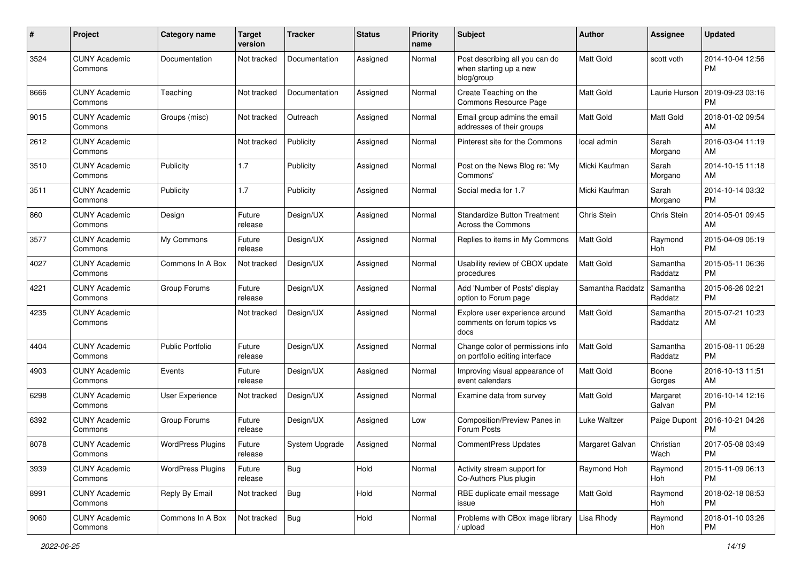| #    | Project                         | <b>Category name</b>     | <b>Target</b><br>version | <b>Tracker</b> | <b>Status</b> | <b>Priority</b><br>name | Subject                                                                | Author             | Assignee            | <b>Updated</b>                |
|------|---------------------------------|--------------------------|--------------------------|----------------|---------------|-------------------------|------------------------------------------------------------------------|--------------------|---------------------|-------------------------------|
| 3524 | <b>CUNY Academic</b><br>Commons | Documentation            | Not tracked              | Documentation  | Assigned      | Normal                  | Post describing all you can do<br>when starting up a new<br>blog/group | <b>Matt Gold</b>   | scott voth          | 2014-10-04 12:56<br><b>PM</b> |
| 8666 | <b>CUNY Academic</b><br>Commons | Teaching                 | Not tracked              | Documentation  | Assigned      | Normal                  | Create Teaching on the<br>Commons Resource Page                        | <b>Matt Gold</b>   | Laurie Hurson       | 2019-09-23 03:16<br>PM        |
| 9015 | <b>CUNY Academic</b><br>Commons | Groups (misc)            | Not tracked              | Outreach       | Assigned      | Normal                  | Email group admins the email<br>addresses of their groups              | Matt Gold          | Matt Gold           | 2018-01-02 09:54<br>AM        |
| 2612 | <b>CUNY Academic</b><br>Commons |                          | Not tracked              | Publicity      | Assigned      | Normal                  | Pinterest site for the Commons                                         | local admin        | Sarah<br>Morgano    | 2016-03-04 11:19<br>AM        |
| 3510 | <b>CUNY Academic</b><br>Commons | Publicity                | 1.7                      | Publicity      | Assigned      | Normal                  | Post on the News Blog re: 'My<br>Commons'                              | Micki Kaufman      | Sarah<br>Morgano    | 2014-10-15 11:18<br>AM        |
| 3511 | <b>CUNY Academic</b><br>Commons | Publicity                | 1.7                      | Publicity      | Assigned      | Normal                  | Social media for 1.7                                                   | Micki Kaufman      | Sarah<br>Morgano    | 2014-10-14 03:32<br><b>PM</b> |
| 860  | <b>CUNY Academic</b><br>Commons | Design                   | Future<br>release        | Design/UX      | Assigned      | Normal                  | <b>Standardize Button Treatment</b><br><b>Across the Commons</b>       | <b>Chris Stein</b> | Chris Stein         | 2014-05-01 09:45<br>AM        |
| 3577 | <b>CUNY Academic</b><br>Commons | My Commons               | Future<br>release        | Design/UX      | Assigned      | Normal                  | Replies to items in My Commons                                         | Matt Gold          | Raymond<br>Hoh      | 2015-04-09 05:19<br><b>PM</b> |
| 4027 | <b>CUNY Academic</b><br>Commons | Commons In A Box         | Not tracked              | Design/UX      | Assigned      | Normal                  | Usability review of CBOX update<br>procedures                          | Matt Gold          | Samantha<br>Raddatz | 2015-05-11 06:36<br><b>PM</b> |
| 4221 | <b>CUNY Academic</b><br>Commons | Group Forums             | Future<br>release        | Design/UX      | Assigned      | Normal                  | Add 'Number of Posts' display<br>option to Forum page                  | Samantha Raddatz   | Samantha<br>Raddatz | 2015-06-26 02:21<br><b>PM</b> |
| 4235 | <b>CUNY Academic</b><br>Commons |                          | Not tracked              | Design/UX      | Assigned      | Normal                  | Explore user experience around<br>comments on forum topics vs<br>docs  | Matt Gold          | Samantha<br>Raddatz | 2015-07-21 10:23<br>AM        |
| 4404 | <b>CUNY Academic</b><br>Commons | Public Portfolio         | Future<br>release        | Design/UX      | Assigned      | Normal                  | Change color of permissions info<br>on portfolio editing interface     | <b>Matt Gold</b>   | Samantha<br>Raddatz | 2015-08-11 05:28<br><b>PM</b> |
| 4903 | <b>CUNY Academic</b><br>Commons | Events                   | Future<br>release        | Design/UX      | Assigned      | Normal                  | Improving visual appearance of<br>event calendars                      | <b>Matt Gold</b>   | Boone<br>Gorges     | 2016-10-13 11:51<br>AM        |
| 6298 | <b>CUNY Academic</b><br>Commons | <b>User Experience</b>   | Not tracked              | Design/UX      | Assigned      | Normal                  | Examine data from survey                                               | Matt Gold          | Margaret<br>Galvan  | 2016-10-14 12:16<br><b>PM</b> |
| 6392 | <b>CUNY Academic</b><br>Commons | Group Forums             | Future<br>release        | Design/UX      | Assigned      | Low                     | Composition/Preview Panes in<br>Forum Posts                            | Luke Waltzer       | Paige Dupont        | 2016-10-21 04:26<br><b>PM</b> |
| 8078 | <b>CUNY Academic</b><br>Commons | <b>WordPress Plugins</b> | Future<br>release        | System Upgrade | Assigned      | Normal                  | CommentPress Updates                                                   | Margaret Galvan    | Christian<br>Wach   | 2017-05-08 03:49<br>PM        |
| 3939 | <b>CUNY Academic</b><br>Commons | <b>WordPress Plugins</b> | Future<br>release        | Bug            | Hold          | Normal                  | Activity stream support for<br>Co-Authors Plus plugin                  | Raymond Hoh        | Raymond<br>Hoh      | 2015-11-09 06:13<br><b>PM</b> |
| 8991 | <b>CUNY Academic</b><br>Commons | Reply By Email           | Not tracked              | <b>Bug</b>     | Hold          | Normal                  | RBE duplicate email message<br>issue                                   | Matt Gold          | Raymond<br>Hoh      | 2018-02-18 08:53<br>PM        |
| 9060 | <b>CUNY Academic</b><br>Commons | Commons In A Box         | Not tracked              | Bug            | Hold          | Normal                  | Problems with CBox image library<br>upload                             | Lisa Rhody         | Raymond<br>Hoh      | 2018-01-10 03:26<br>PM        |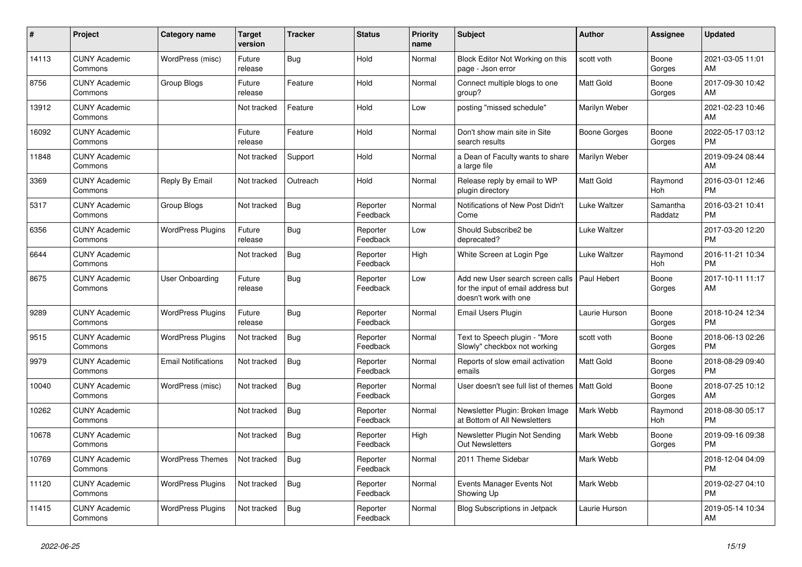| #     | <b>Project</b>                  | <b>Category name</b>       | <b>Target</b><br>version | <b>Tracker</b> | <b>Status</b>        | <b>Priority</b><br>name | <b>Subject</b>                                                                                  | <b>Author</b>    | Assignee            | <b>Updated</b>                |
|-------|---------------------------------|----------------------------|--------------------------|----------------|----------------------|-------------------------|-------------------------------------------------------------------------------------------------|------------------|---------------------|-------------------------------|
| 14113 | <b>CUNY Academic</b><br>Commons | WordPress (misc)           | Future<br>release        | Bug            | Hold                 | Normal                  | Block Editor Not Working on this<br>page - Json error                                           | scott voth       | Boone<br>Gorges     | 2021-03-05 11:01<br>AM        |
| 8756  | <b>CUNY Academic</b><br>Commons | Group Blogs                | Future<br>release        | Feature        | Hold                 | Normal                  | Connect multiple blogs to one<br>group?                                                         | Matt Gold        | Boone<br>Gorges     | 2017-09-30 10:42<br>AM        |
| 13912 | <b>CUNY Academic</b><br>Commons |                            | Not tracked              | Feature        | Hold                 | Low                     | posting "missed schedule"                                                                       | Marilyn Weber    |                     | 2021-02-23 10:46<br>AM        |
| 16092 | <b>CUNY Academic</b><br>Commons |                            | Future<br>release        | Feature        | Hold                 | Normal                  | Don't show main site in Site<br>search results                                                  | Boone Gorges     | Boone<br>Gorges     | 2022-05-17 03:12<br><b>PM</b> |
| 11848 | <b>CUNY Academic</b><br>Commons |                            | Not tracked              | Support        | Hold                 | Normal                  | a Dean of Faculty wants to share<br>a large file                                                | Marilyn Weber    |                     | 2019-09-24 08:44<br>AM        |
| 3369  | <b>CUNY Academic</b><br>Commons | Reply By Email             | Not tracked              | Outreach       | Hold                 | Normal                  | Release reply by email to WP<br>plugin directory                                                | Matt Gold        | Raymond<br>Hoh      | 2016-03-01 12:46<br><b>PM</b> |
| 5317  | <b>CUNY Academic</b><br>Commons | Group Blogs                | Not tracked              | <b>Bug</b>     | Reporter<br>Feedback | Normal                  | Notifications of New Post Didn't<br>Come                                                        | Luke Waltzer     | Samantha<br>Raddatz | 2016-03-21 10:41<br><b>PM</b> |
| 6356  | <b>CUNY Academic</b><br>Commons | <b>WordPress Plugins</b>   | Future<br>release        | Bug            | Reporter<br>Feedback | Low                     | Should Subscribe2 be<br>deprecated?                                                             | Luke Waltzer     |                     | 2017-03-20 12:20<br><b>PM</b> |
| 6644  | <b>CUNY Academic</b><br>Commons |                            | Not tracked              | <b>Bug</b>     | Reporter<br>Feedback | High                    | White Screen at Login Pge                                                                       | Luke Waltzer     | Raymond<br>Hoh      | 2016-11-21 10:34<br><b>PM</b> |
| 8675  | <b>CUNY Academic</b><br>Commons | User Onboarding            | Future<br>release        | Bug            | Reporter<br>Feedback | Low                     | Add new User search screen calls<br>for the input of email address but<br>doesn't work with one | Paul Hebert      | Boone<br>Gorges     | 2017-10-11 11:17<br>AM        |
| 9289  | <b>CUNY Academic</b><br>Commons | <b>WordPress Plugins</b>   | Future<br>release        | Bug            | Reporter<br>Feedback | Normal                  | Email Users Plugin                                                                              | Laurie Hurson    | Boone<br>Gorges     | 2018-10-24 12:34<br><b>PM</b> |
| 9515  | <b>CUNY Academic</b><br>Commons | <b>WordPress Plugins</b>   | Not tracked              | <b>Bug</b>     | Reporter<br>Feedback | Normal                  | Text to Speech plugin - "More<br>Slowly" checkbox not working                                   | scott voth       | Boone<br>Gorges     | 2018-06-13 02:26<br><b>PM</b> |
| 9979  | <b>CUNY Academic</b><br>Commons | <b>Email Notifications</b> | Not tracked              | <b>Bug</b>     | Reporter<br>Feedback | Normal                  | Reports of slow email activation<br>emails                                                      | <b>Matt Gold</b> | Boone<br>Gorges     | 2018-08-29 09:40<br><b>PM</b> |
| 10040 | <b>CUNY Academic</b><br>Commons | WordPress (misc)           | Not tracked              | Bug            | Reporter<br>Feedback | Normal                  | User doesn't see full list of themes                                                            | <b>Matt Gold</b> | Boone<br>Gorges     | 2018-07-25 10:12<br>AM        |
| 10262 | <b>CUNY Academic</b><br>Commons |                            | Not tracked              | <b>Bug</b>     | Reporter<br>Feedback | Normal                  | Newsletter Plugin: Broken Image<br>at Bottom of All Newsletters                                 | Mark Webb        | Raymond<br>Hoh      | 2018-08-30 05:17<br><b>PM</b> |
| 10678 | <b>CUNY Academic</b><br>Commons |                            | Not tracked              | Bug            | Reporter<br>Feedback | High                    | Newsletter Plugin Not Sending<br><b>Out Newsletters</b>                                         | Mark Webb        | Boone<br>Gorges     | 2019-09-16 09:38<br><b>PM</b> |
| 10769 | <b>CUNY Academic</b><br>Commons | <b>WordPress Themes</b>    | Not tracked              | Bug            | Reporter<br>Feedback | Normal                  | 2011 Theme Sidebar                                                                              | Mark Webb        |                     | 2018-12-04 04:09<br><b>PM</b> |
| 11120 | <b>CUNY Academic</b><br>Commons | <b>WordPress Plugins</b>   | Not tracked              | <b>Bug</b>     | Reporter<br>Feedback | Normal                  | Events Manager Events Not<br>Showing Up                                                         | Mark Webb        |                     | 2019-02-27 04:10<br><b>PM</b> |
| 11415 | <b>CUNY Academic</b><br>Commons | <b>WordPress Plugins</b>   | Not tracked              | <b>Bug</b>     | Reporter<br>Feedback | Normal                  | Blog Subscriptions in Jetpack                                                                   | Laurie Hurson    |                     | 2019-05-14 10:34<br>AM        |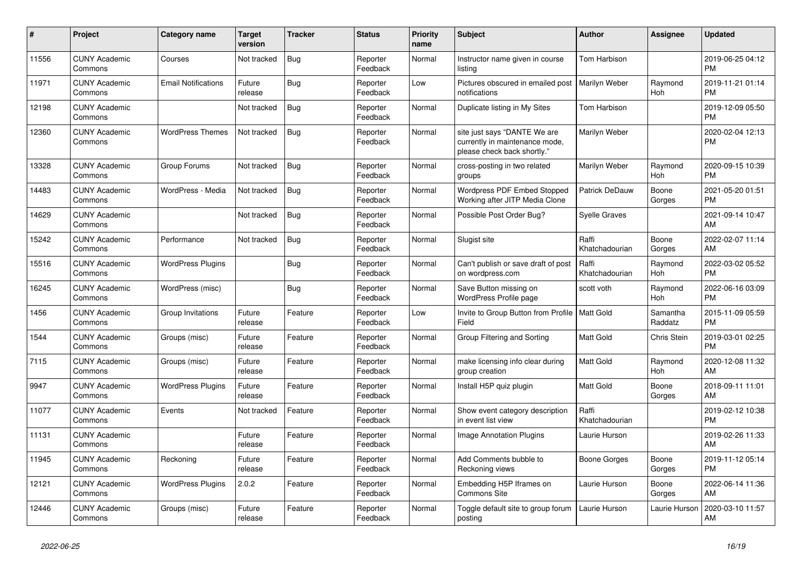| #     | Project                         | <b>Category name</b>       | Target<br>version | <b>Tracker</b> | <b>Status</b>        | <b>Priority</b><br>name | <b>Subject</b>                                                                                | <b>Author</b>           | <b>Assignee</b>       | <b>Updated</b>                |
|-------|---------------------------------|----------------------------|-------------------|----------------|----------------------|-------------------------|-----------------------------------------------------------------------------------------------|-------------------------|-----------------------|-------------------------------|
| 11556 | <b>CUNY Academic</b><br>Commons | Courses                    | Not tracked       | <b>Bug</b>     | Reporter<br>Feedback | Normal                  | Instructor name given in course<br>listing                                                    | Tom Harbison            |                       | 2019-06-25 04:12<br><b>PM</b> |
| 11971 | <b>CUNY Academic</b><br>Commons | <b>Email Notifications</b> | Future<br>release | Bug            | Reporter<br>Feedback | Low                     | Pictures obscured in emailed post<br>notifications                                            | Marilyn Weber           | Raymond<br>Hoh        | 2019-11-21 01:14<br><b>PM</b> |
| 12198 | <b>CUNY Academic</b><br>Commons |                            | Not tracked       | <b>Bug</b>     | Reporter<br>Feedback | Normal                  | Duplicate listing in My Sites                                                                 | Tom Harbison            |                       | 2019-12-09 05:50<br><b>PM</b> |
| 12360 | <b>CUNY Academic</b><br>Commons | <b>WordPress Themes</b>    | Not tracked       | <b>Bug</b>     | Reporter<br>Feedback | Normal                  | site just says "DANTE We are<br>currently in maintenance mode,<br>please check back shortly." | Marilyn Weber           |                       | 2020-02-04 12:13<br><b>PM</b> |
| 13328 | <b>CUNY Academic</b><br>Commons | Group Forums               | Not tracked       | <b>Bug</b>     | Reporter<br>Feedback | Normal                  | cross-posting in two related<br>groups                                                        | Marilyn Weber           | Raymond<br><b>Hoh</b> | 2020-09-15 10:39<br><b>PM</b> |
| 14483 | <b>CUNY Academic</b><br>Commons | WordPress - Media          | Not tracked       | Bug            | Reporter<br>Feedback | Normal                  | <b>Wordpress PDF Embed Stopped</b><br>Working after JITP Media Clone                          | <b>Patrick DeDauw</b>   | Boone<br>Gorges       | 2021-05-20 01:51<br><b>PM</b> |
| 14629 | <b>CUNY Academic</b><br>Commons |                            | Not tracked       | Bug            | Reporter<br>Feedback | Normal                  | Possible Post Order Bug?                                                                      | <b>Syelle Graves</b>    |                       | 2021-09-14 10:47<br>AM        |
| 15242 | <b>CUNY Academic</b><br>Commons | Performance                | Not tracked       | <b>Bug</b>     | Reporter<br>Feedback | Normal                  | Slugist site                                                                                  | Raffi<br>Khatchadourian | Boone<br>Gorges       | 2022-02-07 11:14<br>AM        |
| 15516 | <b>CUNY Academic</b><br>Commons | <b>WordPress Plugins</b>   |                   | Bug            | Reporter<br>Feedback | Normal                  | Can't publish or save draft of post<br>on wordpress.com                                       | Raffi<br>Khatchadourian | Raymond<br>Hoh        | 2022-03-02 05:52<br><b>PM</b> |
| 16245 | <b>CUNY Academic</b><br>Commons | WordPress (misc)           |                   | <b>Bug</b>     | Reporter<br>Feedback | Normal                  | Save Button missing on<br><b>WordPress Profile page</b>                                       | scott voth              | Raymond<br><b>Hoh</b> | 2022-06-16 03:09<br><b>PM</b> |
| 1456  | <b>CUNY Academic</b><br>Commons | Group Invitations          | Future<br>release | Feature        | Reporter<br>Feedback | Low                     | Invite to Group Button from Profile  <br>Field                                                | <b>Matt Gold</b>        | Samantha<br>Raddatz   | 2015-11-09 05:59<br><b>PM</b> |
| 1544  | <b>CUNY Academic</b><br>Commons | Groups (misc)              | Future<br>release | Feature        | Reporter<br>Feedback | Normal                  | Group Filtering and Sorting                                                                   | Matt Gold               | Chris Stein           | 2019-03-01 02:25<br><b>PM</b> |
| 7115  | <b>CUNY Academic</b><br>Commons | Groups (misc)              | Future<br>release | Feature        | Reporter<br>Feedback | Normal                  | make licensing info clear during<br>group creation                                            | <b>Matt Gold</b>        | Raymond<br>Hoh        | 2020-12-08 11:32<br>AM        |
| 9947  | <b>CUNY Academic</b><br>Commons | <b>WordPress Plugins</b>   | Future<br>release | Feature        | Reporter<br>Feedback | Normal                  | Install H5P quiz plugin                                                                       | <b>Matt Gold</b>        | Boone<br>Gorges       | 2018-09-11 11:01<br>AM        |
| 11077 | <b>CUNY Academic</b><br>Commons | Events                     | Not tracked       | Feature        | Reporter<br>Feedback | Normal                  | Show event category description<br>in event list view                                         | Raffi<br>Khatchadourian |                       | 2019-02-12 10:38<br><b>PM</b> |
| 11131 | <b>CUNY Academic</b><br>Commons |                            | Future<br>release | Feature        | Reporter<br>Feedback | Normal                  | Image Annotation Plugins                                                                      | Laurie Hurson           |                       | 2019-02-26 11:33<br>AM        |
| 11945 | <b>CUNY Academic</b><br>Commons | Reckoning                  | Future<br>release | Feature        | Reporter<br>Feedback | Normal                  | Add Comments bubble to<br>Reckoning views                                                     | Boone Gorges            | Boone<br>Gorges       | 2019-11-12 05:14<br><b>PM</b> |
| 12121 | <b>CUNY Academic</b><br>Commons | <b>WordPress Plugins</b>   | 2.0.2             | Feature        | Reporter<br>Feedback | Normal                  | Embedding H5P Iframes on<br><b>Commons Site</b>                                               | Laurie Hurson           | Boone<br>Gorges       | 2022-06-14 11:36<br>AM        |
| 12446 | <b>CUNY Academic</b><br>Commons | Groups (misc)              | Future<br>release | Feature        | Reporter<br>Feedback | Normal                  | Toggle default site to group forum<br>posting                                                 | Laurie Hurson           | Laurie Hurson         | 2020-03-10 11:57<br>AM        |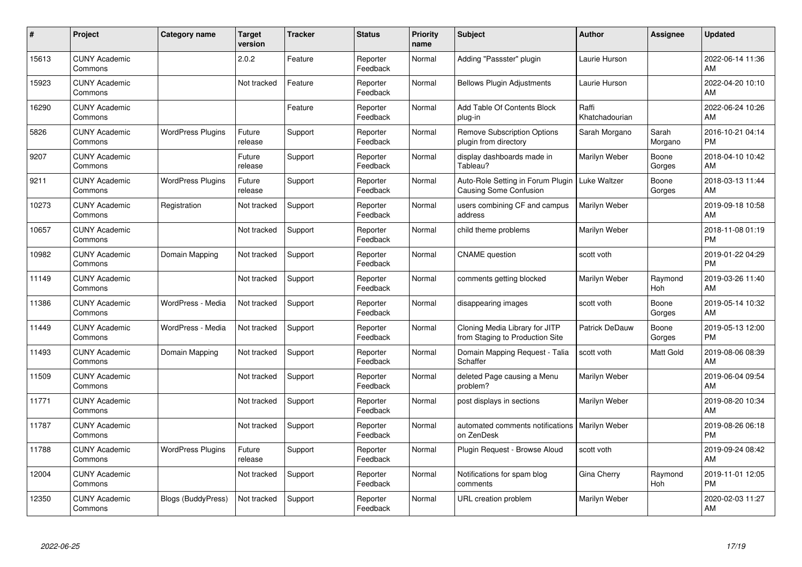| #     | Project                         | <b>Category name</b>      | <b>Target</b><br>version | <b>Tracker</b> | <b>Status</b>        | <b>Priority</b><br>name | <b>Subject</b>                                                    | <b>Author</b>           | <b>Assignee</b>  | <b>Updated</b>                |
|-------|---------------------------------|---------------------------|--------------------------|----------------|----------------------|-------------------------|-------------------------------------------------------------------|-------------------------|------------------|-------------------------------|
| 15613 | <b>CUNY Academic</b><br>Commons |                           | 2.0.2                    | Feature        | Reporter<br>Feedback | Normal                  | Adding "Passster" plugin                                          | Laurie Hurson           |                  | 2022-06-14 11:36<br>AM        |
| 15923 | <b>CUNY Academic</b><br>Commons |                           | Not tracked              | Feature        | Reporter<br>Feedback | Normal                  | <b>Bellows Plugin Adjustments</b>                                 | Laurie Hurson           |                  | 2022-04-20 10:10<br>AM        |
| 16290 | <b>CUNY Academic</b><br>Commons |                           |                          | Feature        | Reporter<br>Feedback | Normal                  | Add Table Of Contents Block<br>plug-in                            | Raffi<br>Khatchadourian |                  | 2022-06-24 10:26<br>AM        |
| 5826  | <b>CUNY Academic</b><br>Commons | <b>WordPress Plugins</b>  | Future<br>release        | Support        | Reporter<br>Feedback | Normal                  | <b>Remove Subscription Options</b><br>plugin from directory       | Sarah Morgano           | Sarah<br>Morgano | 2016-10-21 04:14<br><b>PM</b> |
| 9207  | <b>CUNY Academic</b><br>Commons |                           | Future<br>release        | Support        | Reporter<br>Feedback | Normal                  | display dashboards made in<br>Tableau?                            | Marilyn Weber           | Boone<br>Gorges  | 2018-04-10 10:42<br>AM        |
| 9211  | <b>CUNY Academic</b><br>Commons | <b>WordPress Plugins</b>  | Future<br>release        | Support        | Reporter<br>Feedback | Normal                  | Auto-Role Setting in Forum Plugin<br>Causing Some Confusion       | <b>Luke Waltzer</b>     | Boone<br>Gorges  | 2018-03-13 11:44<br>AM        |
| 10273 | <b>CUNY Academic</b><br>Commons | Registration              | Not tracked              | Support        | Reporter<br>Feedback | Normal                  | users combining CF and campus<br>address                          | Marilyn Weber           |                  | 2019-09-18 10:58<br>AM        |
| 10657 | <b>CUNY Academic</b><br>Commons |                           | Not tracked              | Support        | Reporter<br>Feedback | Normal                  | child theme problems                                              | Marilyn Weber           |                  | 2018-11-08 01:19<br><b>PM</b> |
| 10982 | <b>CUNY Academic</b><br>Commons | Domain Mapping            | Not tracked              | Support        | Reporter<br>Feedback | Normal                  | <b>CNAME</b> question                                             | scott voth              |                  | 2019-01-22 04:29<br><b>PM</b> |
| 11149 | <b>CUNY Academic</b><br>Commons |                           | Not tracked              | Support        | Reporter<br>Feedback | Normal                  | comments getting blocked                                          | Marilyn Weber           | Raymond<br>Hoh   | 2019-03-26 11:40<br>AM        |
| 11386 | <b>CUNY Academic</b><br>Commons | WordPress - Media         | Not tracked              | Support        | Reporter<br>Feedback | Normal                  | disappearing images                                               | scott voth              | Boone<br>Gorges  | 2019-05-14 10:32<br>AM        |
| 11449 | <b>CUNY Academic</b><br>Commons | WordPress - Media         | Not tracked              | Support        | Reporter<br>Feedback | Normal                  | Cloning Media Library for JITP<br>from Staging to Production Site | <b>Patrick DeDauw</b>   | Boone<br>Gorges  | 2019-05-13 12:00<br><b>PM</b> |
| 11493 | <b>CUNY Academic</b><br>Commons | Domain Mapping            | Not tracked              | Support        | Reporter<br>Feedback | Normal                  | Domain Mapping Request - Talia<br>Schaffer                        | scott voth              | Matt Gold        | 2019-08-06 08:39<br>AM        |
| 11509 | <b>CUNY Academic</b><br>Commons |                           | Not tracked              | Support        | Reporter<br>Feedback | Normal                  | deleted Page causing a Menu<br>problem?                           | Marilyn Weber           |                  | 2019-06-04 09:54<br>AM        |
| 11771 | <b>CUNY Academic</b><br>Commons |                           | Not tracked              | Support        | Reporter<br>Feedback | Normal                  | post displays in sections                                         | Marilyn Weber           |                  | 2019-08-20 10:34<br>AM        |
| 11787 | <b>CUNY Academic</b><br>Commons |                           | Not tracked              | Support        | Reporter<br>Feedback | Normal                  | automated comments notifications<br>on ZenDesk                    | Marilyn Weber           |                  | 2019-08-26 06:18<br><b>PM</b> |
| 11788 | <b>CUNY Academic</b><br>Commons | <b>WordPress Plugins</b>  | Future<br>release        | Support        | Reporter<br>Feedback | Normal                  | Plugin Request - Browse Aloud                                     | scott voth              |                  | 2019-09-24 08:42<br>AM        |
| 12004 | <b>CUNY Academic</b><br>Commons |                           | Not tracked              | Support        | Reporter<br>Feedback | Normal                  | Notifications for spam blog<br>comments                           | Gina Cherry             | Raymond<br>Hoh   | 2019-11-01 12:05<br><b>PM</b> |
| 12350 | <b>CUNY Academic</b><br>Commons | <b>Blogs (BuddyPress)</b> | Not tracked              | Support        | Reporter<br>Feedback | Normal                  | URL creation problem                                              | Marilyn Weber           |                  | 2020-02-03 11:27<br>AM        |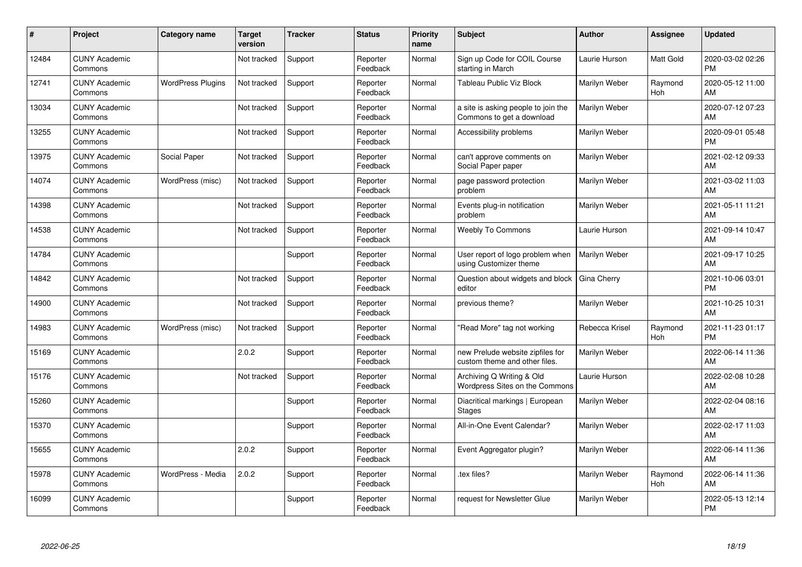| #     | Project                         | <b>Category name</b>     | <b>Target</b><br>version | <b>Tracker</b> | <b>Status</b>        | <b>Priority</b><br>name | <b>Subject</b>                                                    | <b>Author</b>  | <b>Assignee</b>       | <b>Updated</b>                |
|-------|---------------------------------|--------------------------|--------------------------|----------------|----------------------|-------------------------|-------------------------------------------------------------------|----------------|-----------------------|-------------------------------|
| 12484 | <b>CUNY Academic</b><br>Commons |                          | Not tracked              | Support        | Reporter<br>Feedback | Normal                  | Sign up Code for COIL Course<br>starting in March                 | Laurie Hurson  | Matt Gold             | 2020-03-02 02:26<br><b>PM</b> |
| 12741 | <b>CUNY Academic</b><br>Commons | <b>WordPress Plugins</b> | Not tracked              | Support        | Reporter<br>Feedback | Normal                  | Tableau Public Viz Block                                          | Marilyn Weber  | Raymond<br><b>Hoh</b> | 2020-05-12 11:00<br>AM        |
| 13034 | <b>CUNY Academic</b><br>Commons |                          | Not tracked              | Support        | Reporter<br>Feedback | Normal                  | a site is asking people to join the<br>Commons to get a download  | Marilyn Weber  |                       | 2020-07-12 07:23<br>AM        |
| 13255 | <b>CUNY Academic</b><br>Commons |                          | Not tracked              | Support        | Reporter<br>Feedback | Normal                  | Accessibility problems                                            | Marilyn Weber  |                       | 2020-09-01 05:48<br><b>PM</b> |
| 13975 | <b>CUNY Academic</b><br>Commons | Social Paper             | Not tracked              | Support        | Reporter<br>Feedback | Normal                  | can't approve comments on<br>Social Paper paper                   | Marilyn Weber  |                       | 2021-02-12 09:33<br>AM        |
| 14074 | <b>CUNY Academic</b><br>Commons | WordPress (misc)         | Not tracked              | Support        | Reporter<br>Feedback | Normal                  | page password protection<br>problem                               | Marilyn Weber  |                       | 2021-03-02 11:03<br>AM        |
| 14398 | <b>CUNY Academic</b><br>Commons |                          | Not tracked              | Support        | Reporter<br>Feedback | Normal                  | Events plug-in notification<br>problem                            | Marilyn Weber  |                       | 2021-05-11 11:21<br>AM        |
| 14538 | <b>CUNY Academic</b><br>Commons |                          | Not tracked              | Support        | Reporter<br>Feedback | Normal                  | <b>Weebly To Commons</b>                                          | Laurie Hurson  |                       | 2021-09-14 10:47<br>AM        |
| 14784 | <b>CUNY Academic</b><br>Commons |                          |                          | Support        | Reporter<br>Feedback | Normal                  | User report of logo problem when<br>using Customizer theme        | Marilyn Weber  |                       | 2021-09-17 10:25<br>AM        |
| 14842 | <b>CUNY Academic</b><br>Commons |                          | Not tracked              | Support        | Reporter<br>Feedback | Normal                  | Question about widgets and block<br>editor                        | Gina Cherry    |                       | 2021-10-06 03:01<br><b>PM</b> |
| 14900 | <b>CUNY Academic</b><br>Commons |                          | Not tracked              | Support        | Reporter<br>Feedback | Normal                  | previous theme?                                                   | Marilyn Weber  |                       | 2021-10-25 10:31<br>AM        |
| 14983 | <b>CUNY Academic</b><br>Commons | WordPress (misc)         | Not tracked              | Support        | Reporter<br>Feedback | Normal                  | 'Read More" tag not working                                       | Rebecca Krisel | Raymond<br>Hoh        | 2021-11-23 01:17<br><b>PM</b> |
| 15169 | <b>CUNY Academic</b><br>Commons |                          | 2.0.2                    | Support        | Reporter<br>Feedback | Normal                  | new Prelude website zipfiles for<br>custom theme and other files. | Marilyn Weber  |                       | 2022-06-14 11:36<br>AM        |
| 15176 | <b>CUNY Academic</b><br>Commons |                          | Not tracked              | Support        | Reporter<br>Feedback | Normal                  | Archiving Q Writing & Old<br>Wordpress Sites on the Commons       | Laurie Hurson  |                       | 2022-02-08 10:28<br>AM        |
| 15260 | <b>CUNY Academic</b><br>Commons |                          |                          | Support        | Reporter<br>Feedback | Normal                  | Diacritical markings   European<br><b>Stages</b>                  | Marilyn Weber  |                       | 2022-02-04 08:16<br>AM        |
| 15370 | <b>CUNY Academic</b><br>Commons |                          |                          | Support        | Reporter<br>Feedback | Normal                  | All-in-One Event Calendar?                                        | Marilyn Weber  |                       | 2022-02-17 11:03<br>AM        |
| 15655 | <b>CUNY Academic</b><br>Commons |                          | 2.0.2                    | Support        | Reporter<br>Feedback | Normal                  | Event Aggregator plugin?                                          | Marilyn Weber  |                       | 2022-06-14 11:36<br>AM        |
| 15978 | <b>CUNY Academic</b><br>Commons | WordPress - Media        | 2.0.2                    | Support        | Reporter<br>Feedback | Normal                  | tex files?                                                        | Marilyn Weber  | Raymond<br>Hoh        | 2022-06-14 11:36<br>AM        |
| 16099 | <b>CUNY Academic</b><br>Commons |                          |                          | Support        | Reporter<br>Feedback | Normal                  | request for Newsletter Glue                                       | Marilyn Weber  |                       | 2022-05-13 12:14<br><b>PM</b> |